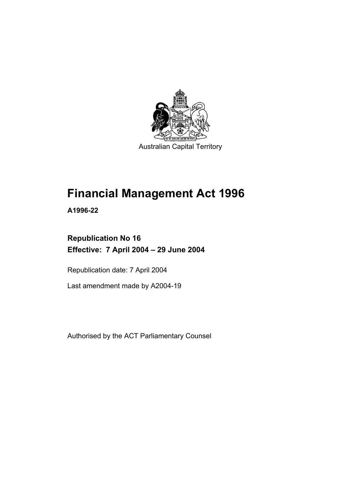

Australian Capital Territory

# **Financial Management Act 1996**

**A1996-22** 

# **Republication No 16 Effective: 7 April 2004 – 29 June 2004**

Republication date: 7 April 2004

Last amendment made by A2004-19

Authorised by the ACT Parliamentary Counsel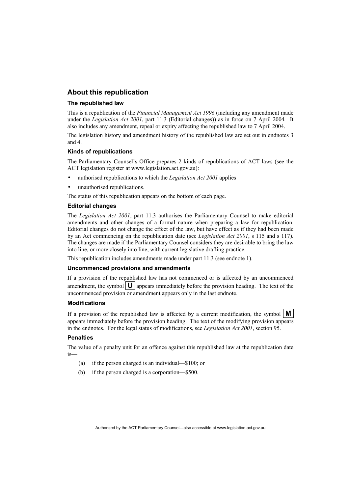#### **About this republication**

#### **The republished law**

This is a republication of the *Financial Management Act 1996* (including any amendment made under the *Legislation Act 2001*, part 11.3 (Editorial changes)) as in force on 7 April 2004*.* It also includes any amendment, repeal or expiry affecting the republished law to 7 April 2004.

The legislation history and amendment history of the republished law are set out in endnotes 3 and 4.

#### **Kinds of republications**

The Parliamentary Counsel's Office prepares 2 kinds of republications of ACT laws (see the ACT legislation register at www.legislation.act.gov.au):

- authorised republications to which the *Legislation Act 2001* applies
- unauthorised republications.

The status of this republication appears on the bottom of each page.

#### **Editorial changes**

The *Legislation Act 2001*, part 11.3 authorises the Parliamentary Counsel to make editorial amendments and other changes of a formal nature when preparing a law for republication. Editorial changes do not change the effect of the law, but have effect as if they had been made by an Act commencing on the republication date (see *Legislation Act 2001*, s 115 and s 117). The changes are made if the Parliamentary Counsel considers they are desirable to bring the law into line, or more closely into line, with current legislative drafting practice.

This republication includes amendments made under part 11.3 (see endnote 1).

#### **Uncommenced provisions and amendments**

If a provision of the republished law has not commenced or is affected by an uncommenced amendment, the symbol  $\mathbf{U}$  appears immediately before the provision heading. The text of the uncommenced provision or amendment appears only in the last endnote.

#### **Modifications**

If a provision of the republished law is affected by a current modification, the symbol  $\mathbf{M}$ appears immediately before the provision heading. The text of the modifying provision appears in the endnotes. For the legal status of modifications, see *Legislation Act 2001*, section 95.

#### **Penalties**

The value of a penalty unit for an offence against this republished law at the republication date is—

- (a) if the person charged is an individual—\$100; or
- (b) if the person charged is a corporation—\$500.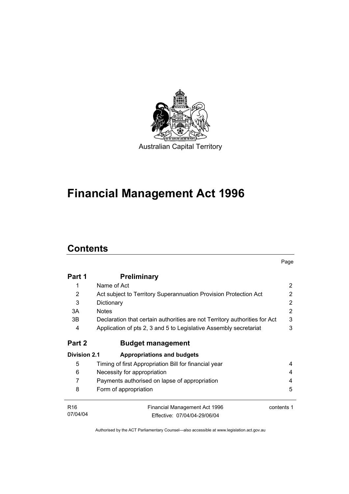

# **Financial Management Act 1996**

# **Contents**

|                     |                                                                            | Page       |
|---------------------|----------------------------------------------------------------------------|------------|
| Part 1              | <b>Preliminary</b>                                                         |            |
| 1                   | Name of Act                                                                | 2          |
| $\overline{2}$      | Act subject to Territory Superannuation Provision Protection Act           | 2          |
| 3                   | Dictionary                                                                 | 2          |
| 3A                  | <b>Notes</b>                                                               | 2          |
| 3B                  | Declaration that certain authorities are not Territory authorities for Act | 3          |
| 4                   | Application of pts 2, 3 and 5 to Legislative Assembly secretariat          | 3          |
| Part 2              | <b>Budget management</b>                                                   |            |
| <b>Division 2.1</b> | <b>Appropriations and budgets</b>                                          |            |
| 5                   | Timing of first Appropriation Bill for financial year                      | 4          |
| 6                   | Necessity for appropriation                                                | 4          |
| 7                   | Payments authorised on lapse of appropriation                              | 4          |
| 8                   | Form of appropriation                                                      | 5          |
| R <sub>16</sub>     | Financial Management Act 1996                                              | contents 1 |
| 07/04/04            | Fffective: 07/04/04-29/06/04                                               |            |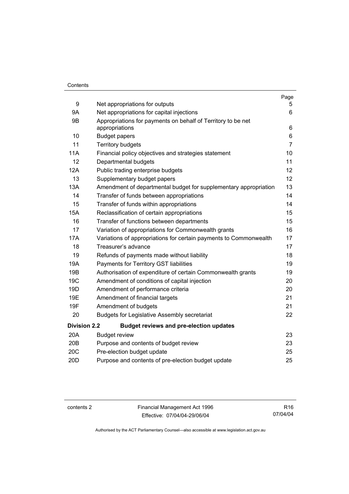#### **Contents**

|                     |                                                                                | Page           |
|---------------------|--------------------------------------------------------------------------------|----------------|
| 9                   | Net appropriations for outputs                                                 | 5              |
| 9Α                  | Net appropriations for capital injections                                      | 6              |
| 9Β                  | Appropriations for payments on behalf of Territory to be net<br>appropriations | 6              |
| 10                  | <b>Budget papers</b>                                                           | 6              |
| 11                  | <b>Territory budgets</b>                                                       | $\overline{7}$ |
| 11A                 | Financial policy objectives and strategies statement                           | 10             |
| 12                  | Departmental budgets                                                           | 11             |
| 12A                 | Public trading enterprise budgets                                              | 12             |
| 13                  | Supplementary budget papers                                                    | 12             |
| 13A                 | Amendment of departmental budget for supplementary appropriation               | 13             |
| 14                  | Transfer of funds between appropriations                                       | 14             |
| 15                  | Transfer of funds within appropriations                                        | 14             |
| <b>15A</b>          | Reclassification of certain appropriations                                     | 15             |
| 16                  | Transfer of functions between departments                                      | 15             |
| 17                  | Variation of appropriations for Commonwealth grants                            | 16             |
| 17A                 | Variations of appropriations for certain payments to Commonwealth              | 17             |
| 18                  | Treasurer's advance                                                            | 17             |
| 19                  | Refunds of payments made without liability                                     | 18             |
| 19A                 | Payments for Territory GST liabilities                                         | 19             |
| 19B                 | Authorisation of expenditure of certain Commonwealth grants                    | 19             |
| 19 <sub>C</sub>     | Amendment of conditions of capital injection                                   | 20             |
| 19D                 | Amendment of performance criteria                                              | 20             |
| 19E                 | Amendment of financial targets                                                 | 21             |
| 19F                 | Amendment of budgets                                                           | 21             |
| 20                  | <b>Budgets for Legislative Assembly secretariat</b>                            | 22             |
| <b>Division 2.2</b> | <b>Budget reviews and pre-election updates</b>                                 |                |
| 20A                 | <b>Budget review</b>                                                           | 23             |
| 20B                 | Purpose and contents of budget review                                          | 23             |
| 20C                 | Pre-election budget update                                                     | 25             |
| 20 <sub>D</sub>     | Purpose and contents of pre-election budget update                             | 25             |

contents 2 Financial Management Act 1996 Effective: 07/04/04-29/06/04

R16 07/04/04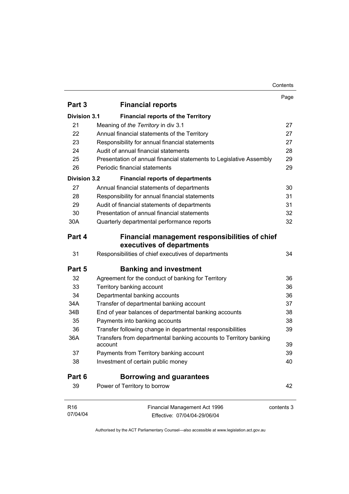#### Contents

|                     |                                                                             | Page       |
|---------------------|-----------------------------------------------------------------------------|------------|
| Part 3              | <b>Financial reports</b>                                                    |            |
| <b>Division 3.1</b> | <b>Financial reports of the Territory</b>                                   |            |
| 21                  | Meaning of the Territory in div 3.1                                         | 27         |
| 22                  | Annual financial statements of the Territory                                | 27         |
| 23                  | Responsibility for annual financial statements                              | 27         |
| 24                  | Audit of annual financial statements                                        | 28         |
| 25                  | Presentation of annual financial statements to Legislative Assembly         | 29         |
| 26                  | Periodic financial statements                                               | 29         |
| <b>Division 3.2</b> | <b>Financial reports of departments</b>                                     |            |
| 27                  | Annual financial statements of departments                                  | 30         |
| 28                  | Responsibility for annual financial statements                              | 31         |
| 29                  | Audit of financial statements of departments                                | 31         |
| 30                  | Presentation of annual financial statements                                 | 32         |
| 30A                 | Quarterly departmental performance reports                                  | 32         |
| Part 4              | Financial management responsibilities of chief<br>executives of departments |            |
| 31                  | Responsibilities of chief executives of departments                         | 34         |
| Part 5              | <b>Banking and investment</b>                                               |            |
| 32                  | Agreement for the conduct of banking for Territory                          | 36         |
| 33                  | Territory banking account                                                   | 36         |
| 34                  | Departmental banking accounts                                               | 36         |
| 34A                 | Transfer of departmental banking account                                    | 37         |
| 34B                 | End of year balances of departmental banking accounts                       | 38         |
| 35                  | Payments into banking accounts                                              | 38         |
| 36                  | Transfer following change in departmental responsibilities                  | 39         |
| 36A                 | Transfers from departmental banking accounts to Territory banking           |            |
|                     | account                                                                     | 39         |
| 37                  | Payments from Territory banking account                                     | 39         |
| 38                  | Investment of certain public money                                          | 40         |
| Part 6              | <b>Borrowing and guarantees</b>                                             |            |
| 39                  | Power of Territory to borrow                                                | 42         |
| R <sub>16</sub>     | Financial Management Act 1996                                               | contents 3 |
| 07/04/04            | Effective: 07/04/04-29/06/04                                                |            |
|                     |                                                                             |            |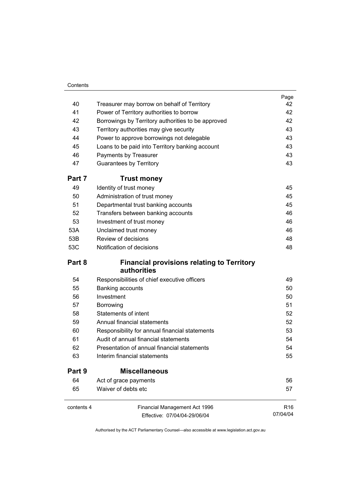#### **Contents**

|            |                                                                  | Page            |
|------------|------------------------------------------------------------------|-----------------|
| 40         | Treasurer may borrow on behalf of Territory                      | 42              |
| 41         | Power of Territory authorities to borrow                         | 42              |
| 42         | Borrowings by Territory authorities to be approved               | 42              |
| 43         | Territory authorities may give security                          | 43              |
| 44         | Power to approve borrowings not delegable                        | 43              |
| 45         | Loans to be paid into Territory banking account                  | 43              |
| 46         | Payments by Treasurer                                            | 43              |
| 47         | <b>Guarantees by Territory</b>                                   | 43              |
| Part 7     | <b>Trust money</b>                                               |                 |
| 49         | Identity of trust money                                          | 45              |
| 50         | Administration of trust money                                    | 45              |
| 51         | Departmental trust banking accounts                              | 45              |
| 52         | Transfers between banking accounts                               | 46              |
| 53         | Investment of trust money                                        | 46              |
| 53A        | Unclaimed trust money                                            | 46              |
| 53B        | Review of decisions                                              | 48              |
| 53C        | Notification of decisions                                        | 48              |
| Part 8     | <b>Financial provisions relating to Territory</b><br>authorities |                 |
| 54         | Responsibilities of chief executive officers                     | 49              |
| 55         | Banking accounts                                                 | 50              |
| 56         | Investment                                                       | 50              |
| 57         | Borrowing                                                        | 51              |
| 58         | <b>Statements of intent</b>                                      | 52              |
| 59         | Annual financial statements                                      | 52              |
| 60         | Responsibility for annual financial statements                   | 53              |
| 61         | Audit of annual financial statements                             | 54              |
| 62         | Presentation of annual financial statements                      | 54              |
| 63         | Interim financial statements                                     | 55              |
| Part 9     | <b>Miscellaneous</b>                                             |                 |
| 64         | Act of grace payments                                            | 56              |
| 65         | Waiver of debts etc                                              | 57              |
| contents 4 | Financial Management Act 1996                                    | R <sub>16</sub> |
|            | Effective: 07/04/04-29/06/04                                     | 07/04/04        |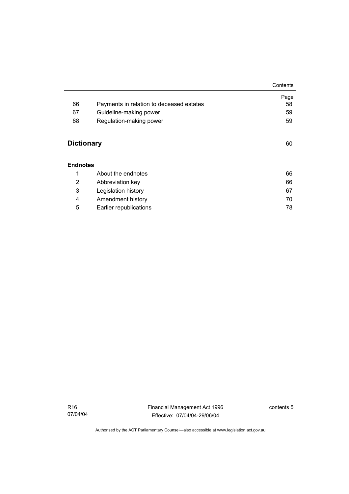|                   |                                          | Contents |
|-------------------|------------------------------------------|----------|
|                   |                                          | Page     |
| 66                | Payments in relation to deceased estates | 58       |
| 67                | Guideline-making power                   | 59       |
| 68                | Regulation-making power                  | 59       |
| <b>Dictionary</b> |                                          | 60       |
| <b>Endnotes</b>   |                                          |          |
| 1                 | About the endnotes                       | 66       |
| 2                 | Abbreviation key                         | 66       |
| 3                 | Legislation history                      | 67       |
| 4                 | Amendment history                        | 70       |
| 5                 | Earlier republications                   | 78       |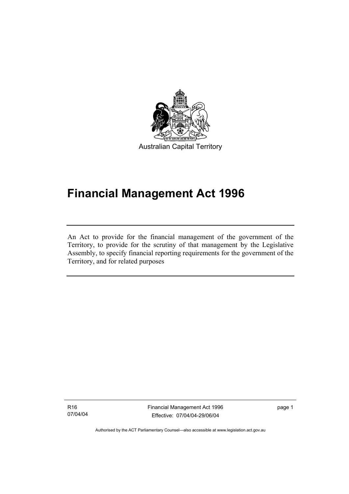

Australian Capital Territory

# **Financial Management Act 1996**

An Act to provide for the financial management of the government of the Territory, to provide for the scrutiny of that management by the Legislative Assembly, to specify financial reporting requirements for the government of the Territory, and for related purposes

R16 07/04/04

I

Financial Management Act 1996 Effective: 07/04/04-29/06/04

page 1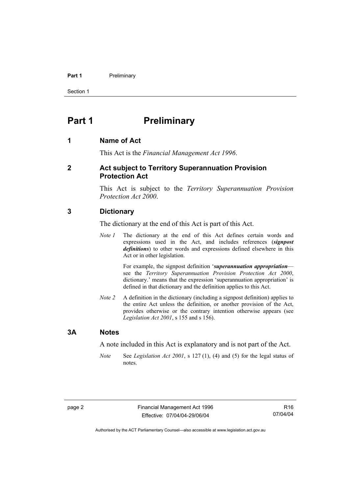#### **Part 1** Preliminary

Section 1

# **Part 1** Preliminary

#### **1 Name of Act**

This Act is the *Financial Management Act 1996*.

#### **2 Act subject to Territory Superannuation Provision Protection Act**

This Act is subject to the *Territory Superannuation Provision Protection Act 2000*.

#### **3 Dictionary**

The dictionary at the end of this Act is part of this Act.

*Note 1* The dictionary at the end of this Act defines certain words and expressions used in the Act, and includes references (*signpost definitions*) to other words and expressions defined elsewhere in this Act or in other legislation.

> For example, the signpost definition '*superannuation appropriation* see the *Territory Superannuation Provision Protection Act 2000*, dictionary.' means that the expression 'superannuation appropriation' is defined in that dictionary and the definition applies to this Act.

*Note 2* A definition in the dictionary (including a signpost definition) applies to the entire Act unless the definition, or another provision of the Act, provides otherwise or the contrary intention otherwise appears (see *Legislation Act 2001*, s 155 and s 156).

#### **3A Notes**

A note included in this Act is explanatory and is not part of the Act.

*Note* See *Legislation Act 2001*, s 127 (1), (4) and (5) for the legal status of notes.

R16 07/04/04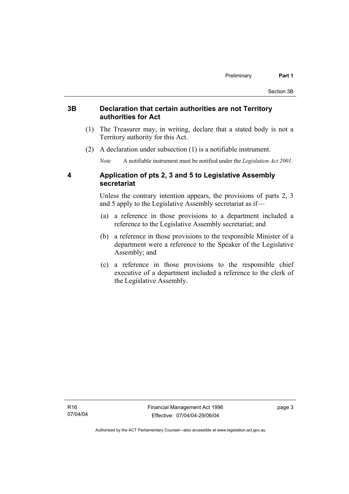#### **3B Declaration that certain authorities are not Territory authorities for Act**

- (1) The Treasurer may, in writing, declare that a stated body is not a Territory authority for this Act.
- (2) A declaration under subsection (1) is a notifiable instrument.

*Note* A notifiable instrument must be notified under the *Legislation Act 2001*.

#### **4 Application of pts 2, 3 and 5 to Legislative Assembly secretariat**

Unless the contrary intention appears, the provisions of parts 2, 3 and 5 apply to the Legislative Assembly secretariat as if—

- (a) a reference in those provisions to a department included a reference to the Legislative Assembly secretariat; and
- (b) a reference in those provisions to the responsible Minister of a department were a reference to the Speaker of the Legislative Assembly; and
- (c) a reference in those provisions to the responsible chief executive of a department included a reference to the clerk of the Legislative Assembly.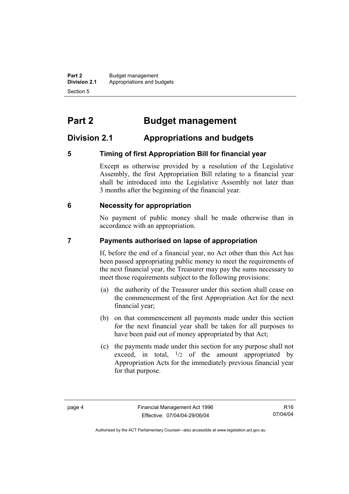**Part 2** Budget management<br>**Division 2.1** Appropriations and by **Division 2.1** Appropriations and budgets Section 5

# **Part 2 Budget management**

# **Division 2.1 Appropriations and budgets**

### **5 Timing of first Appropriation Bill for financial year**

Except as otherwise provided by a resolution of the Legislative Assembly, the first Appropriation Bill relating to a financial year shall be introduced into the Legislative Assembly not later than 3 months after the beginning of the financial year.

#### **6 Necessity for appropriation**

No payment of public money shall be made otherwise than in accordance with an appropriation.

#### **7 Payments authorised on lapse of appropriation**

If, before the end of a financial year, no Act other than this Act has been passed appropriating public money to meet the requirements of the next financial year, the Treasurer may pay the sums necessary to meet those requirements subject to the following provisions:

- (a) the authority of the Treasurer under this section shall cease on the commencement of the first Appropriation Act for the next financial year;
- (b) on that commencement all payments made under this section for the next financial year shall be taken for all purposes to have been paid out of money appropriated by that Act;
- (c) the payments made under this section for any purpose shall not exceed, in total,  $\frac{1}{2}$  of the amount appropriated by Appropriation Acts for the immediately previous financial year for that purpose.

Authorised by the ACT Parliamentary Counsel—also accessible at www.legislation.act.gov.au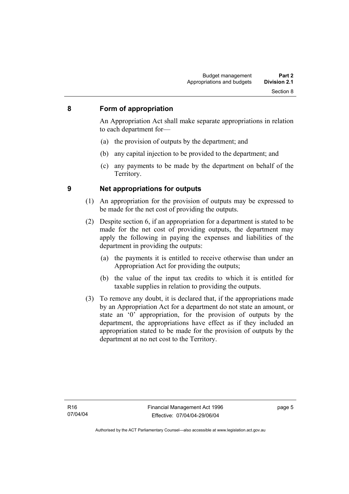#### **8 Form of appropriation**

An Appropriation Act shall make separate appropriations in relation to each department for—

- (a) the provision of outputs by the department; and
- (b) any capital injection to be provided to the department; and
- (c) any payments to be made by the department on behalf of the Territory.

- **9 Net appropriations for outputs** 
	- (1) An appropriation for the provision of outputs may be expressed to be made for the net cost of providing the outputs.
	- (2) Despite section 6, if an appropriation for a department is stated to be made for the net cost of providing outputs, the department may apply the following in paying the expenses and liabilities of the department in providing the outputs:
		- (a) the payments it is entitled to receive otherwise than under an Appropriation Act for providing the outputs;
		- (b) the value of the input tax credits to which it is entitled for taxable supplies in relation to providing the outputs.
	- (3) To remove any doubt, it is declared that, if the appropriations made by an Appropriation Act for a department do not state an amount, or state an '0' appropriation, for the provision of outputs by the department, the appropriations have effect as if they included an appropriation stated to be made for the provision of outputs by the department at no net cost to the Territory.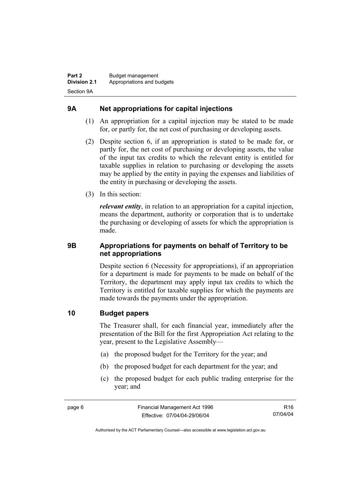### **9A Net appropriations for capital injections**

- (1) An appropriation for a capital injection may be stated to be made for, or partly for, the net cost of purchasing or developing assets.
- (2) Despite section 6, if an appropriation is stated to be made for, or partly for, the net cost of purchasing or developing assets, the value of the input tax credits to which the relevant entity is entitled for taxable supplies in relation to purchasing or developing the assets may be applied by the entity in paying the expenses and liabilities of the entity in purchasing or developing the assets.
- (3) In this section:

*relevant entity*, in relation to an appropriation for a capital injection, means the department, authority or corporation that is to undertake the purchasing or developing of assets for which the appropriation is made.

#### **9B Appropriations for payments on behalf of Territory to be net appropriations**

Despite section 6 (Necessity for appropriations), if an appropriation for a department is made for payments to be made on behalf of the Territory, the department may apply input tax credits to which the Territory is entitled for taxable supplies for which the payments are made towards the payments under the appropriation.

#### **10 Budget papers**

The Treasurer shall, for each financial year, immediately after the presentation of the Bill for the first Appropriation Act relating to the year, present to the Legislative Assembly—

- (a) the proposed budget for the Territory for the year; and
- (b) the proposed budget for each department for the year; and
- (c) the proposed budget for each public trading enterprise for the year; and

R16 07/04/04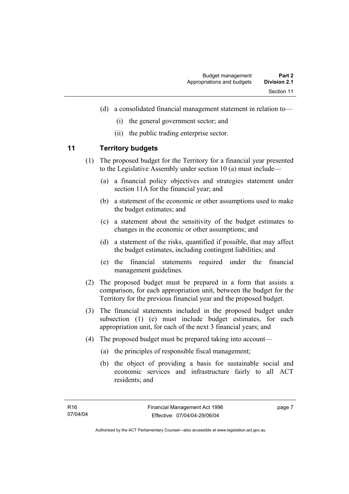- (d) a consolidated financial management statement in relation to—
	- (i) the general government sector; and
	- (ii) the public trading enterprise sector.

#### **11 Territory budgets**

- (1) The proposed budget for the Territory for a financial year presented to the Legislative Assembly under section 10 (a) must include—
	- (a) a financial policy objectives and strategies statement under section 11A for the financial year; and
	- (b) a statement of the economic or other assumptions used to make the budget estimates; and
	- (c) a statement about the sensitivity of the budget estimates to changes in the economic or other assumptions; and
	- (d) a statement of the risks, quantified if possible, that may affect the budget estimates, including contingent liabilities; and
	- (e) the financial statements required under the financial management guidelines.
- (2) The proposed budget must be prepared in a form that assists a comparison, for each appropriation unit, between the budget for the Territory for the previous financial year and the proposed budget.
- (3) The financial statements included in the proposed budget under subsection (1) (e) must include budget estimates, for each appropriation unit, for each of the next 3 financial years; and
- (4) The proposed budget must be prepared taking into account—
	- (a) the principles of responsible fiscal management;
	- (b) the object of providing a basis for sustainable social and economic services and infrastructure fairly to all ACT residents; and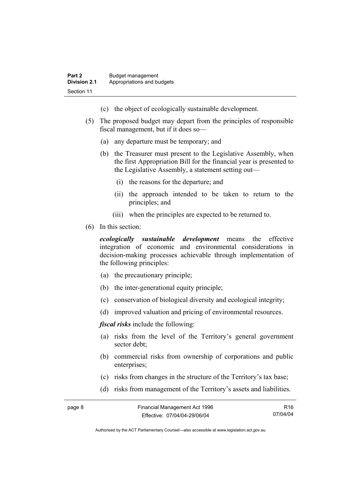- (c) the object of ecologically sustainable development.
- (5) The proposed budget may depart from the principles of responsible fiscal management, but if it does so—
	- (a) any departure must be temporary; and
	- (b) the Treasurer must present to the Legislative Assembly, when the first Appropriation Bill for the financial year is presented to the Legislative Assembly, a statement setting out—
		- (i) the reasons for the departure; and
		- (ii) the approach intended to be taken to return to the principles; and
		- (iii) when the principles are expected to be returned to.
- (6) In this section:

*ecologically sustainable development* means the effective integration of economic and environmental considerations in decision-making processes achievable through implementation of the following principles:

- (a) the precautionary principle;
- (b) the inter-generational equity principle;
- (c) conservation of biological diversity and ecological integrity;
- (d) improved valuation and pricing of environmental resources.

*fiscal risks* include the following:

- (a) risks from the level of the Territory's general government sector debt;
- (b) commercial risks from ownership of corporations and public enterprises:
- (c) risks from changes in the structure of the Territory's tax base;
- (d) risks from management of the Territory's assets and liabilities.

| page 8 | Financial Management Act 1996 | R <sub>16</sub> |
|--------|-------------------------------|-----------------|
|        | Effective: 07/04/04-29/06/04  | 07/04/04        |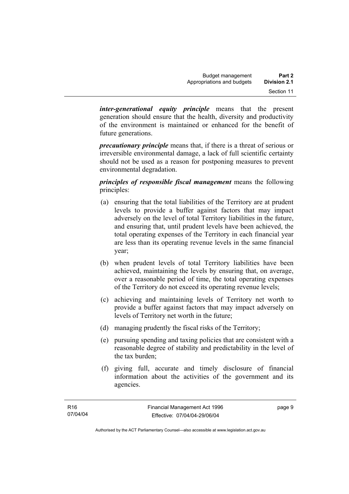*inter-generational equity principle* means that the present generation should ensure that the health, diversity and productivity of the environment is maintained or enhanced for the benefit of future generations.

*precautionary principle* means that, if there is a threat of serious or irreversible environmental damage, a lack of full scientific certainty should not be used as a reason for postponing measures to prevent environmental degradation.

*principles of responsible fiscal management* means the following principles:

- (a) ensuring that the total liabilities of the Territory are at prudent levels to provide a buffer against factors that may impact adversely on the level of total Territory liabilities in the future, and ensuring that, until prudent levels have been achieved, the total operating expenses of the Territory in each financial year are less than its operating revenue levels in the same financial year;
- (b) when prudent levels of total Territory liabilities have been achieved, maintaining the levels by ensuring that, on average, over a reasonable period of time, the total operating expenses of the Territory do not exceed its operating revenue levels;
- (c) achieving and maintaining levels of Territory net worth to provide a buffer against factors that may impact adversely on levels of Territory net worth in the future;
- (d) managing prudently the fiscal risks of the Territory;
- (e) pursuing spending and taxing policies that are consistent with a reasonable degree of stability and predictability in the level of the tax burden;
- (f) giving full, accurate and timely disclosure of financial information about the activities of the government and its agencies.

page 9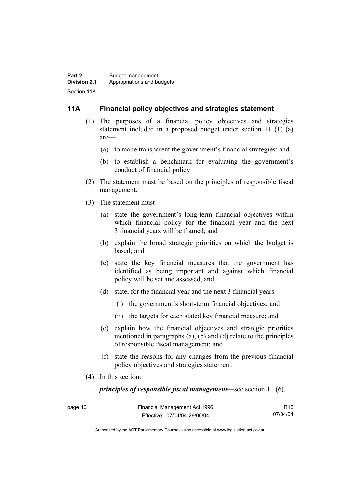#### **11A Financial policy objectives and strategies statement**

- (1) The purposes of a financial policy objectives and strategies statement included in a proposed budget under section 11 (1) (a) are—
	- (a) to make transparent the government's financial strategies; and
	- (b) to establish a benchmark for evaluating the government's conduct of financial policy.
- (2) The statement must be based on the principles of responsible fiscal management.
- (3) The statement must—
	- (a) state the government's long-term financial objectives within which financial policy for the financial year and the next 3 financial years will be framed; and
	- (b) explain the broad strategic priorities on which the budget is based; and
	- (c) state the key financial measures that the government has identified as being important and against which financial policy will be set and assessed; and
	- (d) state, for the financial year and the next 3 financial years—
		- (i) the government's short-term financial objectives; and
		- (ii) the targets for each stated key financial measure; and
	- (e) explain how the financial objectives and strategic priorities mentioned in paragraphs (a), (b) and (d) relate to the principles of responsible fiscal management; and
	- (f) state the reasons for any changes from the previous financial policy objectives and strategies statement.
- (4) In this section:

*principles of responsible fiscal management*—see section 11 (6).

| page 10 | Financial Management Act 1996 | R <sub>16</sub> |
|---------|-------------------------------|-----------------|
|         | Effective: 07/04/04-29/06/04  | 07/04/04        |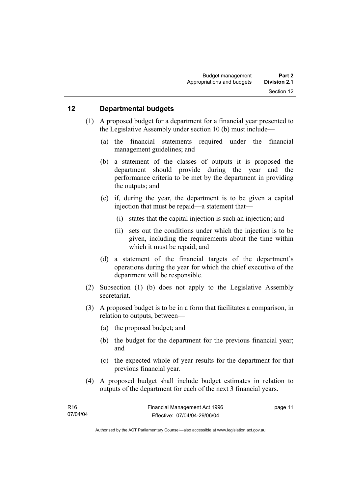#### **12 Departmental budgets**

- (1) A proposed budget for a department for a financial year presented to the Legislative Assembly under section 10 (b) must include—
	- (a) the financial statements required under the financial management guidelines; and
	- (b) a statement of the classes of outputs it is proposed the department should provide during the year and the performance criteria to be met by the department in providing the outputs; and
	- (c) if, during the year, the department is to be given a capital injection that must be repaid—a statement that—
		- (i) states that the capital injection is such an injection; and
		- (ii) sets out the conditions under which the injection is to be given, including the requirements about the time within which it must be repaid; and
	- (d) a statement of the financial targets of the department's operations during the year for which the chief executive of the department will be responsible.
- (2) Subsection (1) (b) does not apply to the Legislative Assembly secretariat.
- (3) A proposed budget is to be in a form that facilitates a comparison, in relation to outputs, between—
	- (a) the proposed budget; and
	- (b) the budget for the department for the previous financial year; and
	- (c) the expected whole of year results for the department for that previous financial year.
- (4) A proposed budget shall include budget estimates in relation to outputs of the department for each of the next 3 financial years.

| R16      | Financial Management Act 1996 | page 11 |
|----------|-------------------------------|---------|
| 07/04/04 | Effective: 07/04/04-29/06/04  |         |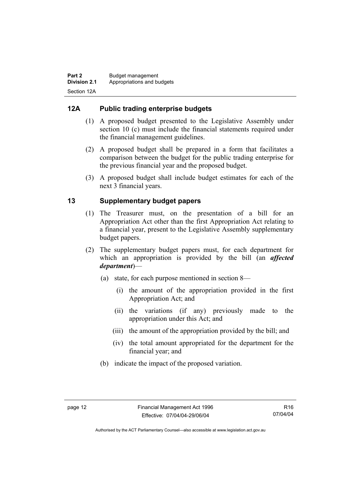### **12A Public trading enterprise budgets**

- (1) A proposed budget presented to the Legislative Assembly under section 10 (c) must include the financial statements required under the financial management guidelines.
- (2) A proposed budget shall be prepared in a form that facilitates a comparison between the budget for the public trading enterprise for the previous financial year and the proposed budget.
- (3) A proposed budget shall include budget estimates for each of the next 3 financial years.

### **13 Supplementary budget papers**

- (1) The Treasurer must, on the presentation of a bill for an Appropriation Act other than the first Appropriation Act relating to a financial year, present to the Legislative Assembly supplementary budget papers.
- (2) The supplementary budget papers must, for each department for which an appropriation is provided by the bill (an *affected department*)—
	- (a) state, for each purpose mentioned in section 8—
		- (i) the amount of the appropriation provided in the first Appropriation Act; and
		- (ii) the variations (if any) previously made to the appropriation under this Act; and
		- (iii) the amount of the appropriation provided by the bill; and
		- (iv) the total amount appropriated for the department for the financial year; and
	- (b) indicate the impact of the proposed variation.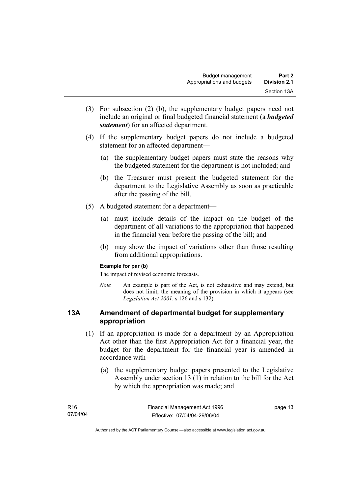- (3) For subsection (2) (b), the supplementary budget papers need not include an original or final budgeted financial statement (a *budgeted statement*) for an affected department.
- (4) If the supplementary budget papers do not include a budgeted statement for an affected department—
	- (a) the supplementary budget papers must state the reasons why the budgeted statement for the department is not included; and
	- (b) the Treasurer must present the budgeted statement for the department to the Legislative Assembly as soon as practicable after the passing of the bill.
- (5) A budgeted statement for a department—
	- (a) must include details of the impact on the budget of the department of all variations to the appropriation that happened in the financial year before the passing of the bill; and
	- (b) may show the impact of variations other than those resulting from additional appropriations.

#### **Example for par (b)**

The impact of revised economic forecasts.

*Note* An example is part of the Act, is not exhaustive and may extend, but does not limit, the meaning of the provision in which it appears (see *Legislation Act 2001*, s 126 and s 132).

#### **13A Amendment of departmental budget for supplementary appropriation**

- (1) If an appropriation is made for a department by an Appropriation Act other than the first Appropriation Act for a financial year, the budget for the department for the financial year is amended in accordance with—
	- (a) the supplementary budget papers presented to the Legislative Assembly under section 13 (1) in relation to the bill for the Act by which the appropriation was made; and

| R16      | Financial Management Act 1996 | page 13 |
|----------|-------------------------------|---------|
| 07/04/04 | Effective: 07/04/04-29/06/04  |         |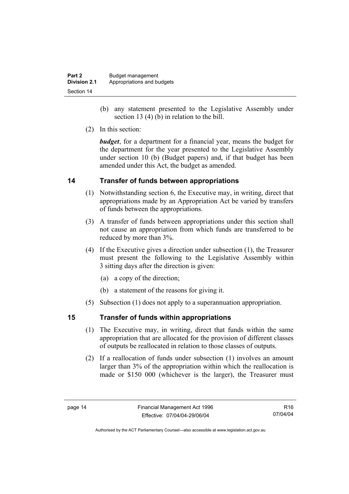| Part 2              | Budget management          |
|---------------------|----------------------------|
| <b>Division 2.1</b> | Appropriations and budgets |
| Section 14          |                            |

- (b) any statement presented to the Legislative Assembly under section 13 (4) (b) in relation to the bill.
- (2) In this section:

*budget*, for a department for a financial year, means the budget for the department for the year presented to the Legislative Assembly under section 10 (b) (Budget papers) and, if that budget has been amended under this Act, the budget as amended.

#### **14 Transfer of funds between appropriations**

- (1) Notwithstanding section 6, the Executive may, in writing, direct that appropriations made by an Appropriation Act be varied by transfers of funds between the appropriations.
- (3) A transfer of funds between appropriations under this section shall not cause an appropriation from which funds are transferred to be reduced by more than 3%.
- (4) If the Executive gives a direction under subsection (1), the Treasurer must present the following to the Legislative Assembly within 3 sitting days after the direction is given:
	- (a) a copy of the direction;
	- (b) a statement of the reasons for giving it.
- (5) Subsection (1) does not apply to a superannuation appropriation.

#### **15 Transfer of funds within appropriations**

- (1) The Executive may, in writing, direct that funds within the same appropriation that are allocated for the provision of different classes of outputs be reallocated in relation to those classes of outputs.
- (2) If a reallocation of funds under subsection (1) involves an amount larger than 3% of the appropriation within which the reallocation is made or \$150 000 (whichever is the larger), the Treasurer must

R16 07/04/04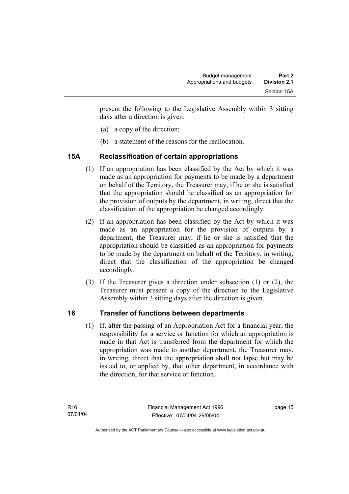present the following to the Legislative Assembly within 3 sitting days after a direction is given:

- (a) a copy of the direction;
- (b) a statement of the reasons for the reallocation.

# **15A Reclassification of certain appropriations**

- (1) If an appropriation has been classified by the Act by which it was made as an appropriation for payments to be made by a department on behalf of the Territory, the Treasurer may, if he or she is satisfied that the appropriation should be classified as an appropriation for the provision of outputs by the department, in writing, direct that the classification of the appropriation be changed accordingly.
- (2) If an appropriation has been classified by the Act by which it was made as an appropriation for the provision of outputs by a department, the Treasurer may, if he or she is satisfied that the appropriation should be classified as an appropriation for payments to be made by the department on behalf of the Territory, in writing, direct that the classification of the appropriation be changed accordingly.
- (3) If the Treasurer gives a direction under subsection (1) or (2), the Treasurer must present a copy of the direction to the Legislative Assembly within 3 sitting days after the direction is given.

# **16 Transfer of functions between departments**

 (1) If, after the passing of an Appropriation Act for a financial year, the responsibility for a service or function for which an appropriation is made in that Act is transferred from the department for which the appropriation was made to another department, the Treasurer may, in writing, direct that the appropriation shall not lapse but may be issued to, or applied by, that other department, in accordance with the direction, for that service or function.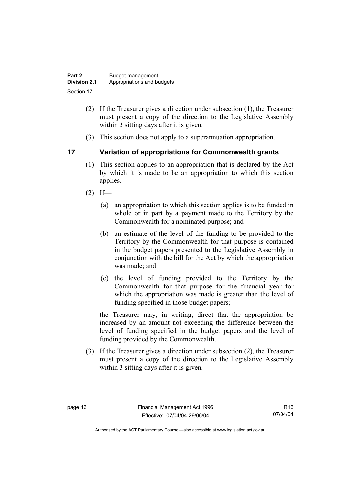| Part 2              | Budget management          |  |
|---------------------|----------------------------|--|
| <b>Division 2.1</b> | Appropriations and budgets |  |
| Section 17          |                            |  |

- (2) If the Treasurer gives a direction under subsection (1), the Treasurer must present a copy of the direction to the Legislative Assembly within 3 sitting days after it is given.
- (3) This section does not apply to a superannuation appropriation.

#### **17 Variation of appropriations for Commonwealth grants**

- (1) This section applies to an appropriation that is declared by the Act by which it is made to be an appropriation to which this section applies.
- $(2)$  If—
	- (a) an appropriation to which this section applies is to be funded in whole or in part by a payment made to the Territory by the Commonwealth for a nominated purpose; and
	- (b) an estimate of the level of the funding to be provided to the Territory by the Commonwealth for that purpose is contained in the budget papers presented to the Legislative Assembly in conjunction with the bill for the Act by which the appropriation was made; and
	- (c) the level of funding provided to the Territory by the Commonwealth for that purpose for the financial year for which the appropriation was made is greater than the level of funding specified in those budget papers;

the Treasurer may, in writing, direct that the appropriation be increased by an amount not exceeding the difference between the level of funding specified in the budget papers and the level of funding provided by the Commonwealth.

 (3) If the Treasurer gives a direction under subsection (2), the Treasurer must present a copy of the direction to the Legislative Assembly within 3 sitting days after it is given.

R16 07/04/04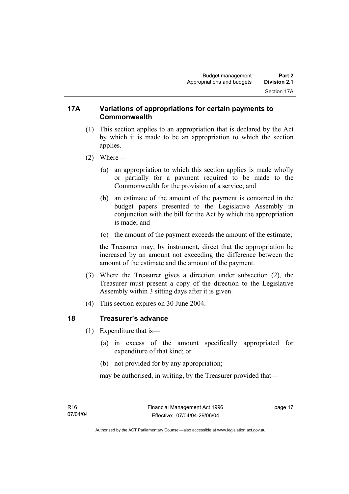#### **17A Variations of appropriations for certain payments to Commonwealth**

- (1) This section applies to an appropriation that is declared by the Act by which it is made to be an appropriation to which the section applies.
- (2) Where—
	- (a) an appropriation to which this section applies is made wholly or partially for a payment required to be made to the Commonwealth for the provision of a service; and
	- (b) an estimate of the amount of the payment is contained in the budget papers presented to the Legislative Assembly in conjunction with the bill for the Act by which the appropriation is made; and
	- (c) the amount of the payment exceeds the amount of the estimate;

the Treasurer may, by instrument, direct that the appropriation be increased by an amount not exceeding the difference between the amount of the estimate and the amount of the payment.

- (3) Where the Treasurer gives a direction under subsection (2), the Treasurer must present a copy of the direction to the Legislative Assembly within 3 sitting days after it is given.
- (4) This section expires on 30 June 2004.

#### **18 Treasurer's advance**

- (1) Expenditure that is—
	- (a) in excess of the amount specifically appropriated for expenditure of that kind; or
	- (b) not provided for by any appropriation;

may be authorised, in writing, by the Treasurer provided that—

page 17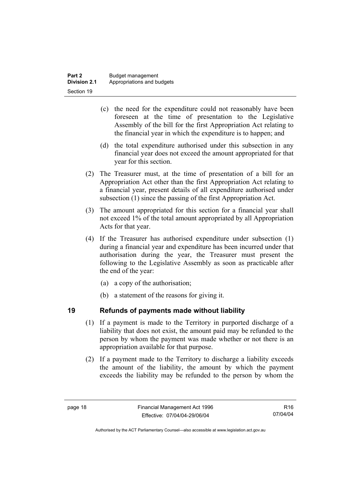- (c) the need for the expenditure could not reasonably have been foreseen at the time of presentation to the Legislative Assembly of the bill for the first Appropriation Act relating to the financial year in which the expenditure is to happen; and
- (d) the total expenditure authorised under this subsection in any financial year does not exceed the amount appropriated for that year for this section.
- (2) The Treasurer must, at the time of presentation of a bill for an Appropriation Act other than the first Appropriation Act relating to a financial year, present details of all expenditure authorised under subsection (1) since the passing of the first Appropriation Act.
- (3) The amount appropriated for this section for a financial year shall not exceed 1% of the total amount appropriated by all Appropriation Acts for that year.
- (4) If the Treasurer has authorised expenditure under subsection (1) during a financial year and expenditure has been incurred under that authorisation during the year, the Treasurer must present the following to the Legislative Assembly as soon as practicable after the end of the year:
	- (a) a copy of the authorisation;
	- (b) a statement of the reasons for giving it.

# **19 Refunds of payments made without liability**

- (1) If a payment is made to the Territory in purported discharge of a liability that does not exist, the amount paid may be refunded to the person by whom the payment was made whether or not there is an appropriation available for that purpose.
- (2) If a payment made to the Territory to discharge a liability exceeds the amount of the liability, the amount by which the payment exceeds the liability may be refunded to the person by whom the

Authorised by the ACT Parliamentary Counsel—also accessible at www.legislation.act.gov.au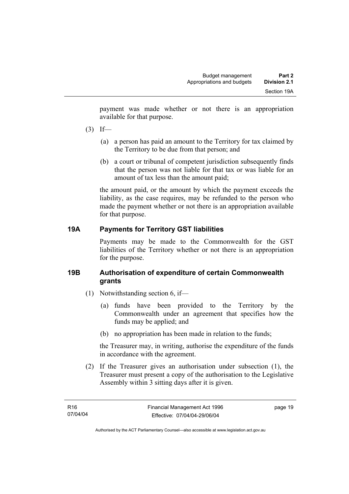payment was made whether or not there is an appropriation available for that purpose.

- $(3)$  If—
	- (a) a person has paid an amount to the Territory for tax claimed by the Territory to be due from that person; and
	- (b) a court or tribunal of competent jurisdiction subsequently finds that the person was not liable for that tax or was liable for an amount of tax less than the amount paid;

the amount paid, or the amount by which the payment exceeds the liability, as the case requires, may be refunded to the person who made the payment whether or not there is an appropriation available for that purpose.

# **19A Payments for Territory GST liabilities**

Payments may be made to the Commonwealth for the GST liabilities of the Territory whether or not there is an appropriation for the purpose.

### **19B Authorisation of expenditure of certain Commonwealth grants**

- (1) Notwithstanding section 6, if—
	- (a) funds have been provided to the Territory by the Commonwealth under an agreement that specifies how the funds may be applied; and
	- (b) no appropriation has been made in relation to the funds;

the Treasurer may, in writing, authorise the expenditure of the funds in accordance with the agreement.

 (2) If the Treasurer gives an authorisation under subsection (1), the Treasurer must present a copy of the authorisation to the Legislative Assembly within 3 sitting days after it is given.

page 19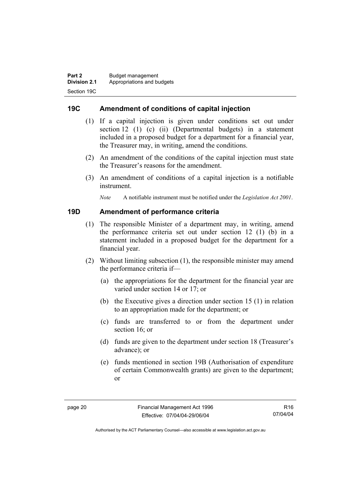### **19C Amendment of conditions of capital injection**

- (1) If a capital injection is given under conditions set out under section 12 (1) (c) (ii) (Departmental budgets) in a statement included in a proposed budget for a department for a financial year, the Treasurer may, in writing, amend the conditions.
- (2) An amendment of the conditions of the capital injection must state the Treasurer's reasons for the amendment.
- (3) An amendment of conditions of a capital injection is a notifiable instrument.

*Note* A notifiable instrument must be notified under the *Legislation Act 2001*.

#### **19D Amendment of performance criteria**

- (1) The responsible Minister of a department may, in writing, amend the performance criteria set out under section 12 (1) (b) in a statement included in a proposed budget for the department for a financial year.
- (2) Without limiting subsection (1), the responsible minister may amend the performance criteria if—
	- (a) the appropriations for the department for the financial year are varied under section 14 or 17; or
	- (b) the Executive gives a direction under section 15 (1) in relation to an appropriation made for the department; or
	- (c) funds are transferred to or from the department under section 16; or
	- (d) funds are given to the department under section 18 (Treasurer's advance); or
	- (e) funds mentioned in section 19B (Authorisation of expenditure of certain Commonwealth grants) are given to the department; or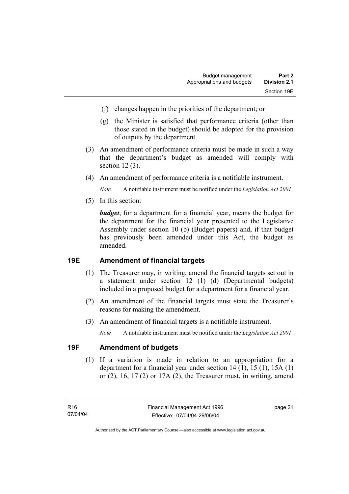- (f) changes happen in the priorities of the department; or
- (g) the Minister is satisfied that performance criteria (other than those stated in the budget) should be adopted for the provision of outputs by the department.
- (3) An amendment of performance criteria must be made in such a way that the department's budget as amended will comply with section 12 (3).
- (4) An amendment of performance criteria is a notifiable instrument.

*Note* A notifiable instrument must be notified under the *Legislation Act 2001*.

(5) In this section:

*budget*, for a department for a financial year, means the budget for the department for the financial year presented to the Legislative Assembly under section 10 (b) (Budget papers) and, if that budget has previously been amended under this Act, the budget as amended.

#### **19E Amendment of financial targets**

- (1) The Treasurer may, in writing, amend the financial targets set out in a statement under section 12 (1) (d) (Departmental budgets) included in a proposed budget for a department for a financial year.
- (2) An amendment of the financial targets must state the Treasurer's reasons for making the amendment.
- (3) An amendment of financial targets is a notifiable instrument.

*Note* A notifiable instrument must be notified under the *Legislation Act 2001*.

#### **19F Amendment of budgets**

 (1) If a variation is made in relation to an appropriation for a department for a financial year under section 14 (1), 15 (1), 15A (1) or  $(2)$ , 16, 17 $(2)$  or 17A $(2)$ , the Treasurer must, in writing, amend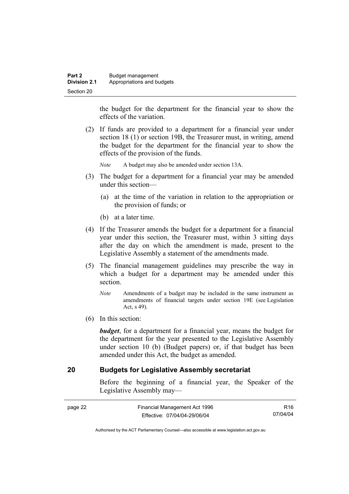the budget for the department for the financial year to show the effects of the variation.

 (2) If funds are provided to a department for a financial year under section 18 (1) or section 19B, the Treasurer must, in writing, amend the budget for the department for the financial year to show the effects of the provision of the funds.

*Note* A budget may also be amended under section 13A.

- (3) The budget for a department for a financial year may be amended under this section—
	- (a) at the time of the variation in relation to the appropriation or the provision of funds; or
	- (b) at a later time.
- (4) If the Treasurer amends the budget for a department for a financial year under this section, the Treasurer must, within 3 sitting days after the day on which the amendment is made, present to the Legislative Assembly a statement of the amendments made.
- (5) The financial management guidelines may prescribe the way in which a budget for a department may be amended under this section.
	- *Note* Amendments of a budget may be included in the same instrument as amendments of financial targets under section 19E (see Legislation Act, s 49).
- (6) In this section:

*budget*, for a department for a financial year, means the budget for the department for the year presented to the Legislative Assembly under section 10 (b) (Budget papers) or, if that budget has been amended under this Act, the budget as amended.

### **20 Budgets for Legislative Assembly secretariat**

Before the beginning of a financial year, the Speaker of the Legislative Assembly may—

| page 22 | Financial Management Act 1996 | R16      |
|---------|-------------------------------|----------|
|         | Effective: 07/04/04-29/06/04  | 07/04/04 |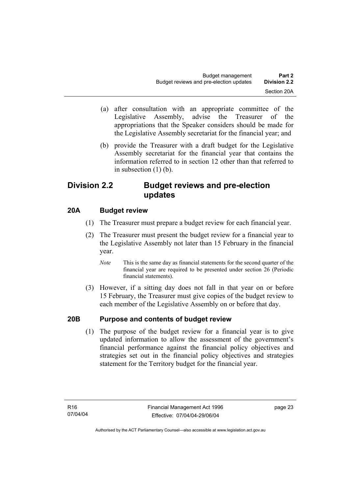- (a) after consultation with an appropriate committee of the Legislative Assembly, advise the Treasurer of the appropriations that the Speaker considers should be made for the Legislative Assembly secretariat for the financial year; and
- (b) provide the Treasurer with a draft budget for the Legislative Assembly secretariat for the financial year that contains the information referred to in section 12 other than that referred to in subsection  $(1)$  (b).

# **Division 2.2 Budget reviews and pre-election updates**

# **20A Budget review**

- (1) The Treasurer must prepare a budget review for each financial year.
- (2) The Treasurer must present the budget review for a financial year to the Legislative Assembly not later than 15 February in the financial year.
	- *Note* This is the same day as financial statements for the second quarter of the financial year are required to be presented under section 26 (Periodic financial statements).
- (3) However, if a sitting day does not fall in that year on or before 15 February, the Treasurer must give copies of the budget review to each member of the Legislative Assembly on or before that day.

#### **20B Purpose and contents of budget review**

 (1) The purpose of the budget review for a financial year is to give updated information to allow the assessment of the government's financial performance against the financial policy objectives and strategies set out in the financial policy objectives and strategies statement for the Territory budget for the financial year.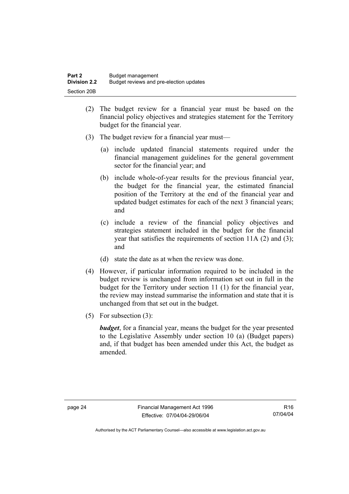- (2) The budget review for a financial year must be based on the financial policy objectives and strategies statement for the Territory budget for the financial year.
- (3) The budget review for a financial year must—
	- (a) include updated financial statements required under the financial management guidelines for the general government sector for the financial year; and
	- (b) include whole-of-year results for the previous financial year, the budget for the financial year, the estimated financial position of the Territory at the end of the financial year and updated budget estimates for each of the next 3 financial years; and
	- (c) include a review of the financial policy objectives and strategies statement included in the budget for the financial year that satisfies the requirements of section 11A (2) and (3); and
	- (d) state the date as at when the review was done.
- (4) However, if particular information required to be included in the budget review is unchanged from information set out in full in the budget for the Territory under section 11 (1) for the financial year, the review may instead summarise the information and state that it is unchanged from that set out in the budget.
- (5) For subsection (3):

*budget*, for a financial year, means the budget for the year presented to the Legislative Assembly under section 10 (a) (Budget papers) and, if that budget has been amended under this Act, the budget as amended.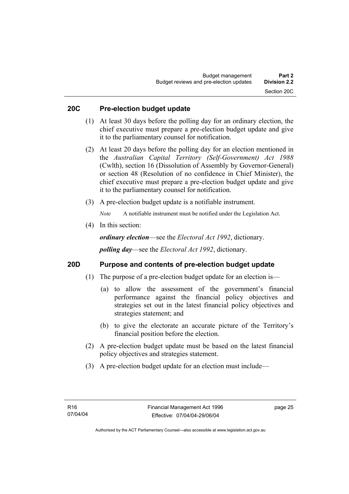#### **20C Pre-election budget update**

- (1) At least 30 days before the polling day for an ordinary election, the chief executive must prepare a pre-election budget update and give it to the parliamentary counsel for notification.
- (2) At least 20 days before the polling day for an election mentioned in the *Australian Capital Territory (Self-Government) Act 1988* (Cwlth), section 16 (Dissolution of Assembly by Governor-General) or section 48 (Resolution of no confidence in Chief Minister), the chief executive must prepare a pre-election budget update and give it to the parliamentary counsel for notification.
- (3) A pre-election budget update is a notifiable instrument.

*Note* A notifiable instrument must be notified under the Legislation Act.

(4) In this section:

*ordinary election*—see the *Electoral Act 1992*, dictionary.

*polling day*—see the *Electoral Act 1992*, dictionary.

#### **20D Purpose and contents of pre-election budget update**

- (1) The purpose of a pre-election budget update for an election is—
	- (a) to allow the assessment of the government's financial performance against the financial policy objectives and strategies set out in the latest financial policy objectives and strategies statement; and
	- (b) to give the electorate an accurate picture of the Territory's financial position before the election.
- (2) A pre-election budget update must be based on the latest financial policy objectives and strategies statement.
- (3) A pre-election budget update for an election must include—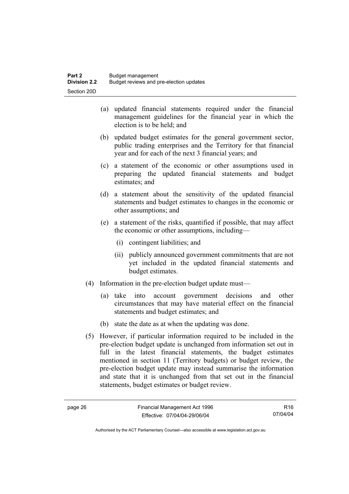- (a) updated financial statements required under the financial management guidelines for the financial year in which the election is to be held; and
- (b) updated budget estimates for the general government sector, public trading enterprises and the Territory for that financial year and for each of the next 3 financial years; and
- (c) a statement of the economic or other assumptions used in preparing the updated financial statements and budget estimates; and
- (d) a statement about the sensitivity of the updated financial statements and budget estimates to changes in the economic or other assumptions; and
- (e) a statement of the risks, quantified if possible, that may affect the economic or other assumptions, including—
	- (i) contingent liabilities; and
	- (ii) publicly announced government commitments that are not yet included in the updated financial statements and budget estimates.
- (4) Information in the pre-election budget update must—
	- (a) take into account government decisions and other circumstances that may have material effect on the financial statements and budget estimates; and
	- (b) state the date as at when the updating was done.
- (5) However, if particular information required to be included in the pre-election budget update is unchanged from information set out in full in the latest financial statements, the budget estimates mentioned in section 11 (Territory budgets) or budget review, the pre-election budget update may instead summarise the information and state that it is unchanged from that set out in the financial statements, budget estimates or budget review.

R16 07/04/04

Authorised by the ACT Parliamentary Counsel—also accessible at www.legislation.act.gov.au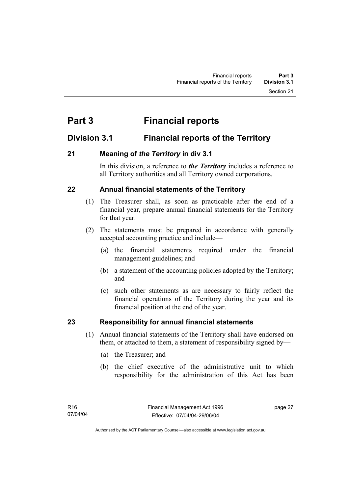# **Part 3 Financial reports**

# **Division 3.1 Financial reports of the Territory**

### **21 Meaning of** *the Territory* **in div 3.1**

In this division, a reference to *the Territory* includes a reference to all Territory authorities and all Territory owned corporations.

### **22 Annual financial statements of the Territory**

- (1) The Treasurer shall, as soon as practicable after the end of a financial year, prepare annual financial statements for the Territory for that year.
- (2) The statements must be prepared in accordance with generally accepted accounting practice and include—
	- (a) the financial statements required under the financial management guidelines; and
	- (b) a statement of the accounting policies adopted by the Territory; and
	- (c) such other statements as are necessary to fairly reflect the financial operations of the Territory during the year and its financial position at the end of the year.

# **23 Responsibility for annual financial statements**

- (1) Annual financial statements of the Territory shall have endorsed on them, or attached to them, a statement of responsibility signed by—
	- (a) the Treasurer; and
	- (b) the chief executive of the administrative unit to which responsibility for the administration of this Act has been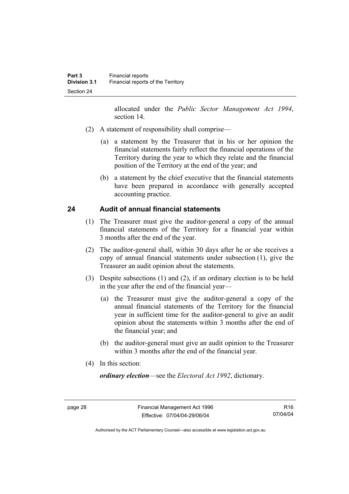allocated under the *Public Sector Management Act 1994*, section 14.

- (2) A statement of responsibility shall comprise—
	- (a) a statement by the Treasurer that in his or her opinion the financial statements fairly reflect the financial operations of the Territory during the year to which they relate and the financial position of the Territory at the end of the year; and
	- (b) a statement by the chief executive that the financial statements have been prepared in accordance with generally accepted accounting practice.

#### **24 Audit of annual financial statements**

- (1) The Treasurer must give the auditor-general a copy of the annual financial statements of the Territory for a financial year within 3 months after the end of the year.
- (2) The auditor-general shall, within 30 days after he or she receives a copy of annual financial statements under subsection (1), give the Treasurer an audit opinion about the statements.
- (3) Despite subsections (1) and (2), if an ordinary election is to be held in the year after the end of the financial year—
	- (a) the Treasurer must give the auditor-general a copy of the annual financial statements of the Territory for the financial year in sufficient time for the auditor-general to give an audit opinion about the statements within 3 months after the end of the financial year; and
	- (b) the auditor-general must give an audit opinion to the Treasurer within 3 months after the end of the financial year.
- (4) In this section:

*ordinary election*—see the *Electoral Act 1992*, dictionary.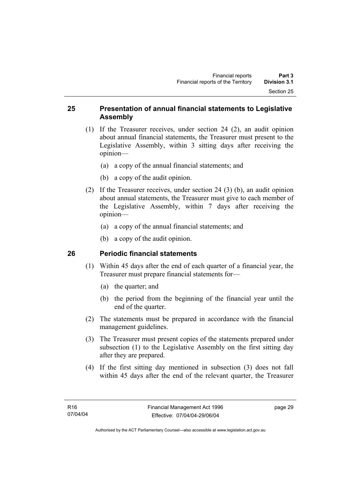#### **25 Presentation of annual financial statements to Legislative Assembly**

- (1) If the Treasurer receives, under section 24 (2), an audit opinion about annual financial statements, the Treasurer must present to the Legislative Assembly, within 3 sitting days after receiving the opinion—
	- (a) a copy of the annual financial statements; and
	- (b) a copy of the audit opinion.
- (2) If the Treasurer receives, under section 24 (3) (b), an audit opinion about annual statements, the Treasurer must give to each member of the Legislative Assembly, within 7 days after receiving the opinion—
	- (a) a copy of the annual financial statements; and
	- (b) a copy of the audit opinion.

## **26 Periodic financial statements**

- (1) Within 45 days after the end of each quarter of a financial year, the Treasurer must prepare financial statements for—
	- (a) the quarter; and
	- (b) the period from the beginning of the financial year until the end of the quarter.
- (2) The statements must be prepared in accordance with the financial management guidelines.
- (3) The Treasurer must present copies of the statements prepared under subsection (1) to the Legislative Assembly on the first sitting day after they are prepared.
- (4) If the first sitting day mentioned in subsection (3) does not fall within 45 days after the end of the relevant quarter, the Treasurer

page 29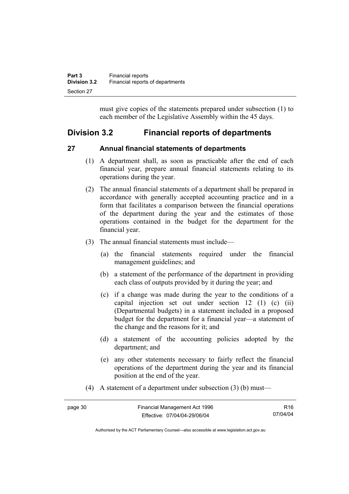| Part 3              | <b>Financial reports</b>         |
|---------------------|----------------------------------|
| <b>Division 3.2</b> | Financial reports of departments |
| Section 27          |                                  |

must give copies of the statements prepared under subsection (1) to each member of the Legislative Assembly within the 45 days.

# **Division 3.2 Financial reports of departments**

#### **27 Annual financial statements of departments**

- (1) A department shall, as soon as practicable after the end of each financial year, prepare annual financial statements relating to its operations during the year.
- (2) The annual financial statements of a department shall be prepared in accordance with generally accepted accounting practice and in a form that facilitates a comparison between the financial operations of the department during the year and the estimates of those operations contained in the budget for the department for the financial year.
- (3) The annual financial statements must include—
	- (a) the financial statements required under the financial management guidelines; and
	- (b) a statement of the performance of the department in providing each class of outputs provided by it during the year; and
	- (c) if a change was made during the year to the conditions of a capital injection set out under section 12 (1) (c) (ii) (Departmental budgets) in a statement included in a proposed budget for the department for a financial year—a statement of the change and the reasons for it; and
	- (d) a statement of the accounting policies adopted by the department; and
	- (e) any other statements necessary to fairly reflect the financial operations of the department during the year and its financial position at the end of the year.
- (4) A statement of a department under subsection (3) (b) must—

| page 30 | Financial Management Act 1996 | R16      |
|---------|-------------------------------|----------|
|         | Effective: 07/04/04-29/06/04  | 07/04/04 |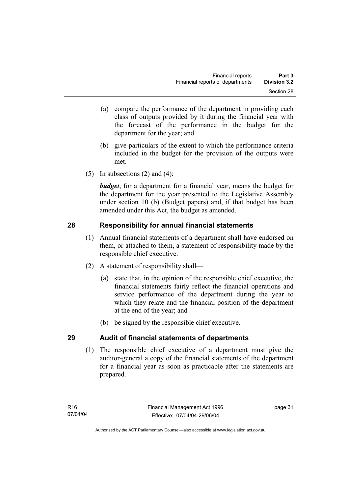- (a) compare the performance of the department in providing each class of outputs provided by it during the financial year with the forecast of the performance in the budget for the department for the year; and
- (b) give particulars of the extent to which the performance criteria included in the budget for the provision of the outputs were met.
- (5) In subsections  $(2)$  and  $(4)$ :

*budget*, for a department for a financial year, means the budget for the department for the year presented to the Legislative Assembly under section 10 (b) (Budget papers) and, if that budget has been amended under this Act, the budget as amended.

# **28 Responsibility for annual financial statements**

- (1) Annual financial statements of a department shall have endorsed on them, or attached to them, a statement of responsibility made by the responsible chief executive.
- (2) A statement of responsibility shall—
	- (a) state that, in the opinion of the responsible chief executive, the financial statements fairly reflect the financial operations and service performance of the department during the year to which they relate and the financial position of the department at the end of the year; and
	- (b) be signed by the responsible chief executive.

# **29 Audit of financial statements of departments**

 (1) The responsible chief executive of a department must give the auditor-general a copy of the financial statements of the department for a financial year as soon as practicable after the statements are prepared.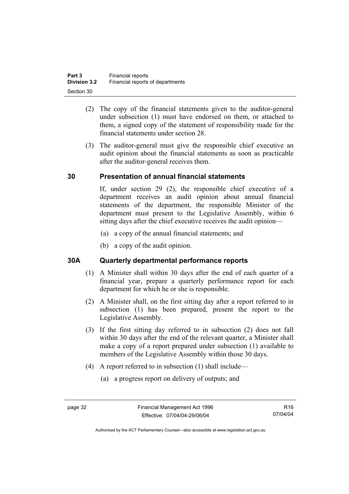- (2) The copy of the financial statements given to the auditor-general under subsection (1) must have endorsed on them, or attached to them, a signed copy of the statement of responsibility made for the financial statements under section 28.
- (3) The auditor-general must give the responsible chief executive an audit opinion about the financial statements as soon as practicable after the auditor-general receives them.

## **30 Presentation of annual financial statements**

If, under section 29 (2), the responsible chief executive of a department receives an audit opinion about annual financial statements of the department, the responsible Minister of the department must present to the Legislative Assembly, within 6 sitting days after the chief executive receives the audit opinion—

- (a) a copy of the annual financial statements; and
- (b) a copy of the audit opinion.

#### **30A Quarterly departmental performance reports**

- (1) A Minister shall within 30 days after the end of each quarter of a financial year, prepare a quarterly performance report for each department for which he or she is responsible.
- (2) A Minister shall, on the first sitting day after a report referred to in subsection (1) has been prepared, present the report to the Legislative Assembly.
- (3) If the first sitting day referred to in subsection (2) does not fall within 30 days after the end of the relevant quarter, a Minister shall make a copy of a report prepared under subsection (1) available to members of the Legislative Assembly within those 30 days.
- (4) A report referred to in subsection (1) shall include—
	- (a) a progress report on delivery of outputs; and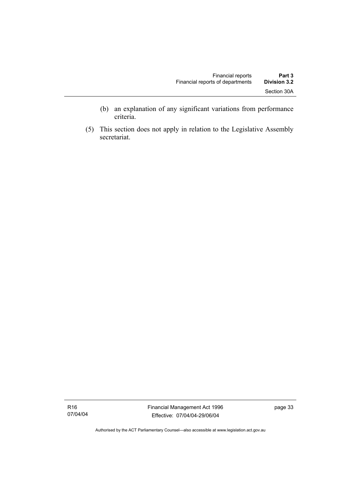- (b) an explanation of any significant variations from performance criteria.
- (5) This section does not apply in relation to the Legislative Assembly secretariat.

R16 07/04/04

Authorised by the ACT Parliamentary Counsel—also accessible at www.legislation.act.gov.au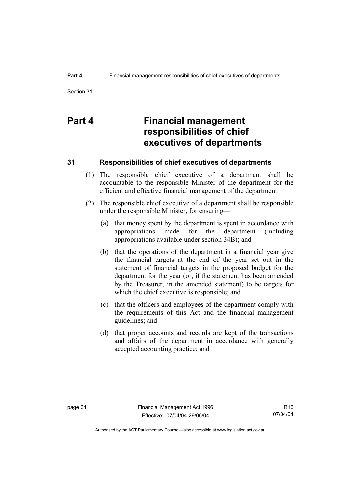# **Part 4 Financial management responsibilities of chief executives of departments**

#### **31 Responsibilities of chief executives of departments**

- (1) The responsible chief executive of a department shall be accountable to the responsible Minister of the department for the efficient and effective financial management of the department.
- (2) The responsible chief executive of a department shall be responsible under the responsible Minister, for ensuring—
	- (a) that money spent by the department is spent in accordance with appropriations made for the department (including appropriations available under section 34B); and
	- (b) that the operations of the department in a financial year give the financial targets at the end of the year set out in the statement of financial targets in the proposed budget for the department for the year (or, if the statement has been amended by the Treasurer, in the amended statement) to be targets for which the chief executive is responsible; and
	- (c) that the officers and employees of the department comply with the requirements of this Act and the financial management guidelines; and
	- (d) that proper accounts and records are kept of the transactions and affairs of the department in accordance with generally accepted accounting practice; and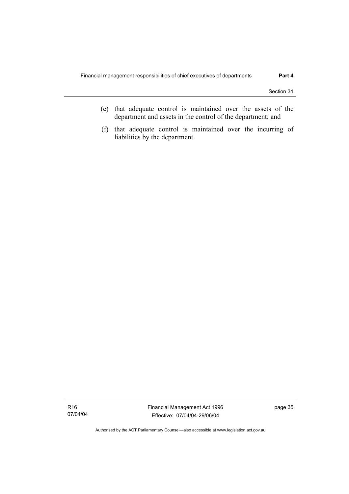- (e) that adequate control is maintained over the assets of the department and assets in the control of the department; and
- (f) that adequate control is maintained over the incurring of liabilities by the department.

Authorised by the ACT Parliamentary Counsel—also accessible at www.legislation.act.gov.au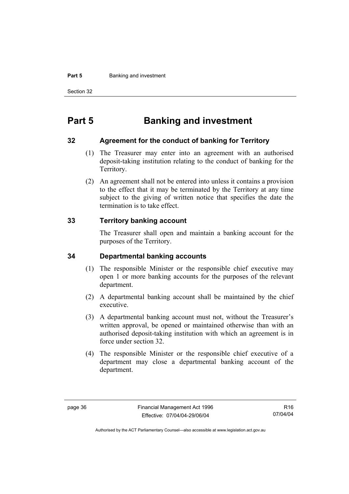#### **Part 5 Banking and investment**

Section 32

# **Part 5 Banking and investment**

#### **32 Agreement for the conduct of banking for Territory**

- (1) The Treasurer may enter into an agreement with an authorised deposit-taking institution relating to the conduct of banking for the Territory.
- (2) An agreement shall not be entered into unless it contains a provision to the effect that it may be terminated by the Territory at any time subject to the giving of written notice that specifies the date the termination is to take effect.

#### **33 Territory banking account**

The Treasurer shall open and maintain a banking account for the purposes of the Territory.

#### **34 Departmental banking accounts**

- (1) The responsible Minister or the responsible chief executive may open 1 or more banking accounts for the purposes of the relevant department.
- (2) A departmental banking account shall be maintained by the chief executive.
- (3) A departmental banking account must not, without the Treasurer's written approval, be opened or maintained otherwise than with an authorised deposit-taking institution with which an agreement is in force under section 32.
- (4) The responsible Minister or the responsible chief executive of a department may close a departmental banking account of the department.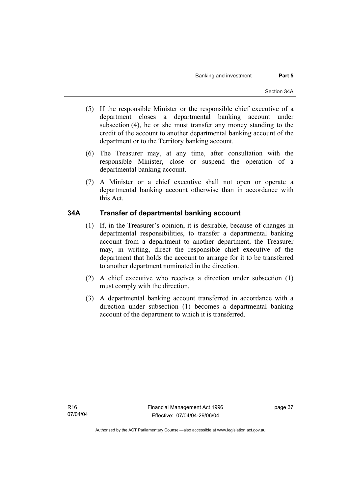- (5) If the responsible Minister or the responsible chief executive of a department closes a departmental banking account under subsection (4), he or she must transfer any money standing to the credit of the account to another departmental banking account of the department or to the Territory banking account.
- (6) The Treasurer may, at any time, after consultation with the responsible Minister, close or suspend the operation of a departmental banking account.
- (7) A Minister or a chief executive shall not open or operate a departmental banking account otherwise than in accordance with this Act.

## **34A Transfer of departmental banking account**

- (1) If, in the Treasurer's opinion, it is desirable, because of changes in departmental responsibilities, to transfer a departmental banking account from a department to another department, the Treasurer may, in writing, direct the responsible chief executive of the department that holds the account to arrange for it to be transferred to another department nominated in the direction.
- (2) A chief executive who receives a direction under subsection (1) must comply with the direction.
- (3) A departmental banking account transferred in accordance with a direction under subsection (1) becomes a departmental banking account of the department to which it is transferred.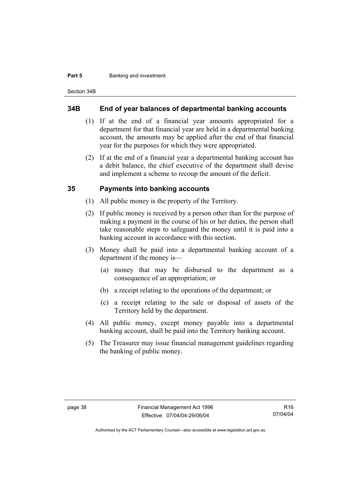#### **Part 5 Banking and investment**

Section 34B

#### **34B End of year balances of departmental banking accounts**

- (1) If at the end of a financial year amounts appropriated for a department for that financial year are held in a departmental banking account, the amounts may be applied after the end of that financial year for the purposes for which they were appropriated.
- (2) If at the end of a financial year a departmental banking account has a debit balance, the chief executive of the department shall devise and implement a scheme to recoup the amount of the deficit.

#### **35 Payments into banking accounts**

- (1) All public money is the property of the Territory.
- (2) If public money is received by a person other than for the purpose of making a payment in the course of his or her duties, the person shall take reasonable steps to safeguard the money until it is paid into a banking account in accordance with this section.
- (3) Money shall be paid into a departmental banking account of a department if the money is—
	- (a) money that may be disbursed to the department as a consequence of an appropriation; or
	- (b) a receipt relating to the operations of the department; or
	- (c) a receipt relating to the sale or disposal of assets of the Territory held by the department.
- (4) All public money, except money payable into a departmental banking account, shall be paid into the Territory banking account.
- (5) The Treasurer may issue financial management guidelines regarding the banking of public money.

Authorised by the ACT Parliamentary Counsel—also accessible at www.legislation.act.gov.au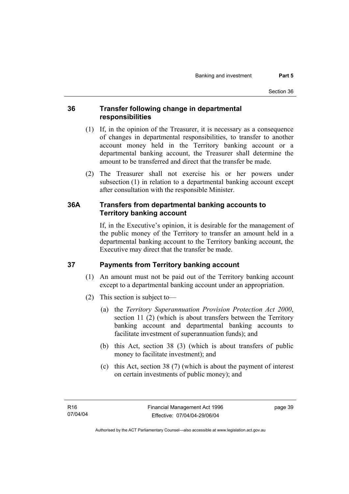## **36 Transfer following change in departmental responsibilities**

- (1) If, in the opinion of the Treasurer, it is necessary as a consequence of changes in departmental responsibilities, to transfer to another account money held in the Territory banking account or a departmental banking account, the Treasurer shall determine the amount to be transferred and direct that the transfer be made.
- (2) The Treasurer shall not exercise his or her powers under subsection (1) in relation to a departmental banking account except after consultation with the responsible Minister.

## **36A Transfers from departmental banking accounts to Territory banking account**

If, in the Executive's opinion, it is desirable for the management of the public money of the Territory to transfer an amount held in a departmental banking account to the Territory banking account, the Executive may direct that the transfer be made.

# **37 Payments from Territory banking account**

- (1) An amount must not be paid out of the Territory banking account except to a departmental banking account under an appropriation.
- (2) This section is subject to—
	- (a) the *Territory Superannuation Provision Protection Act 2000*, section 11 (2) (which is about transfers between the Territory banking account and departmental banking accounts to facilitate investment of superannuation funds); and
	- (b) this Act, section 38 (3) (which is about transfers of public money to facilitate investment); and
	- (c) this Act, section 38 (7) (which is about the payment of interest on certain investments of public money); and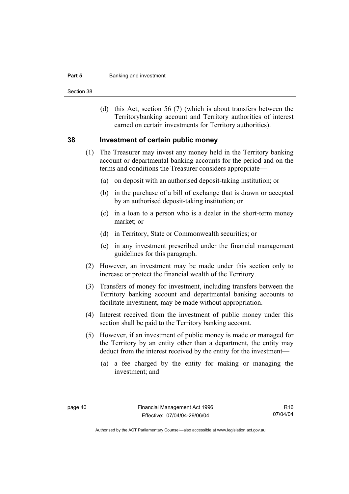#### **Part 5 Banking and investment**

Section 38

 (d) this Act, section 56 (7) (which is about transfers between the Territorybanking account and Territory authorities of interest earned on certain investments for Territory authorities).

#### **38 Investment of certain public money**

- (1) The Treasurer may invest any money held in the Territory banking account or departmental banking accounts for the period and on the terms and conditions the Treasurer considers appropriate—
	- (a) on deposit with an authorised deposit-taking institution; or
	- (b) in the purchase of a bill of exchange that is drawn or accepted by an authorised deposit-taking institution; or
	- (c) in a loan to a person who is a dealer in the short-term money market; or
	- (d) in Territory, State or Commonwealth securities; or
	- (e) in any investment prescribed under the financial management guidelines for this paragraph.
- (2) However, an investment may be made under this section only to increase or protect the financial wealth of the Territory.
- (3) Transfers of money for investment, including transfers between the Territory banking account and departmental banking accounts to facilitate investment, may be made without appropriation.
- (4) Interest received from the investment of public money under this section shall be paid to the Territory banking account.
- (5) However, if an investment of public money is made or managed for the Territory by an entity other than a department, the entity may deduct from the interest received by the entity for the investment—
	- (a) a fee charged by the entity for making or managing the investment; and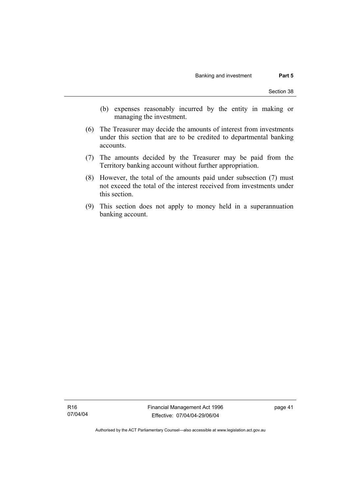- (b) expenses reasonably incurred by the entity in making or managing the investment.
- (6) The Treasurer may decide the amounts of interest from investments under this section that are to be credited to departmental banking accounts.
- (7) The amounts decided by the Treasurer may be paid from the Territory banking account without further appropriation.
- (8) However, the total of the amounts paid under subsection (7) must not exceed the total of the interest received from investments under this section.
- (9) This section does not apply to money held in a superannuation banking account.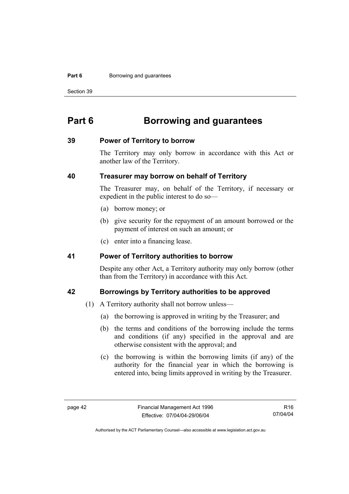#### **Part 6 Borrowing and guarantees**

Section 39

# **Part 6 Borrowing and guarantees**

#### **39 Power of Territory to borrow**

The Territory may only borrow in accordance with this Act or another law of the Territory.

#### **40 Treasurer may borrow on behalf of Territory**

The Treasurer may, on behalf of the Territory, if necessary or expedient in the public interest to do so—

- (a) borrow money; or
- (b) give security for the repayment of an amount borrowed or the payment of interest on such an amount; or
- (c) enter into a financing lease.

#### **41 Power of Territory authorities to borrow**

Despite any other Act, a Territory authority may only borrow (other than from the Territory) in accordance with this Act.

#### **42 Borrowings by Territory authorities to be approved**

- (1) A Territory authority shall not borrow unless—
	- (a) the borrowing is approved in writing by the Treasurer; and
	- (b) the terms and conditions of the borrowing include the terms and conditions (if any) specified in the approval and are otherwise consistent with the approval; and
	- (c) the borrowing is within the borrowing limits (if any) of the authority for the financial year in which the borrowing is entered into, being limits approved in writing by the Treasurer.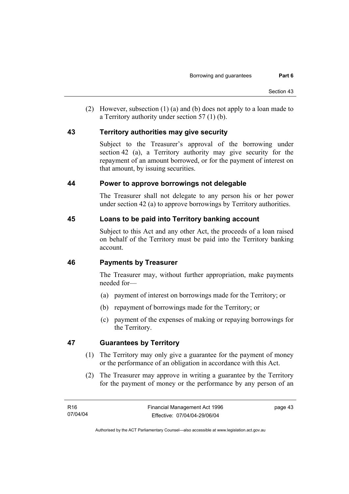(2) However, subsection (1) (a) and (b) does not apply to a loan made to a Territory authority under section 57 (1) (b).

#### **43 Territory authorities may give security**

Subject to the Treasurer's approval of the borrowing under section 42 (a), a Territory authority may give security for the repayment of an amount borrowed, or for the payment of interest on that amount, by issuing securities.

#### **44 Power to approve borrowings not delegable**

The Treasurer shall not delegate to any person his or her power under section 42 (a) to approve borrowings by Territory authorities.

## **45 Loans to be paid into Territory banking account**

Subject to this Act and any other Act, the proceeds of a loan raised on behalf of the Territory must be paid into the Territory banking account.

## **46 Payments by Treasurer**

The Treasurer may, without further appropriation, make payments needed for—

- (a) payment of interest on borrowings made for the Territory; or
- (b) repayment of borrowings made for the Territory; or
- (c) payment of the expenses of making or repaying borrowings for the Territory.

## **47 Guarantees by Territory**

- (1) The Territory may only give a guarantee for the payment of money or the performance of an obligation in accordance with this Act.
- (2) The Treasurer may approve in writing a guarantee by the Territory for the payment of money or the performance by any person of an

page 43

Authorised by the ACT Parliamentary Counsel—also accessible at www.legislation.act.gov.au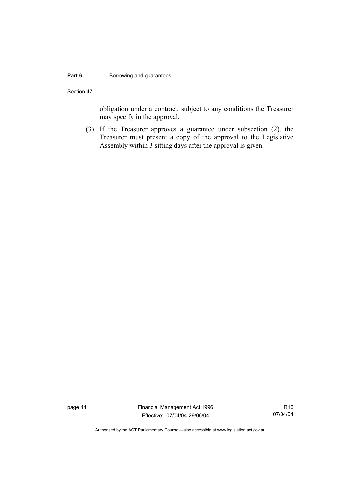#### **Part 6 Borrowing and guarantees**

Section 47

obligation under a contract, subject to any conditions the Treasurer may specify in the approval.

 (3) If the Treasurer approves a guarantee under subsection (2), the Treasurer must present a copy of the approval to the Legislative Assembly within 3 sitting days after the approval is given.

page 44 Financial Management Act 1996 Effective: 07/04/04-29/06/04

R16 07/04/04

Authorised by the ACT Parliamentary Counsel—also accessible at www.legislation.act.gov.au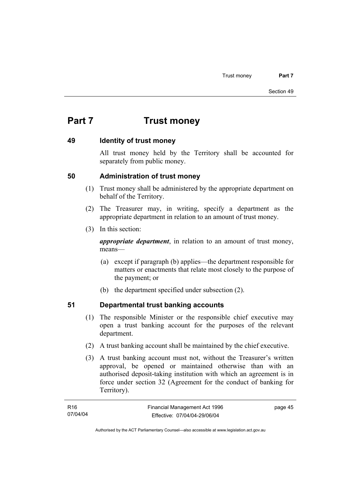# **Part 7 Trust money**

#### **49 Identity of trust money**

All trust money held by the Territory shall be accounted for separately from public money.

#### **50 Administration of trust money**

- (1) Trust money shall be administered by the appropriate department on behalf of the Territory.
- (2) The Treasurer may, in writing, specify a department as the appropriate department in relation to an amount of trust money.
- (3) In this section:

*appropriate department*, in relation to an amount of trust money, means—

- (a) except if paragraph (b) applies—the department responsible for matters or enactments that relate most closely to the purpose of the payment; or
- (b) the department specified under subsection (2).

# **51 Departmental trust banking accounts**

- (1) The responsible Minister or the responsible chief executive may open a trust banking account for the purposes of the relevant department.
- (2) A trust banking account shall be maintained by the chief executive.
- (3) A trust banking account must not, without the Treasurer's written approval, be opened or maintained otherwise than with an authorised deposit-taking institution with which an agreement is in force under section 32 (Agreement for the conduct of banking for Territory).

| R16      | Financial Management Act 1996 | page 45 |
|----------|-------------------------------|---------|
| 07/04/04 | Effective: 07/04/04-29/06/04  |         |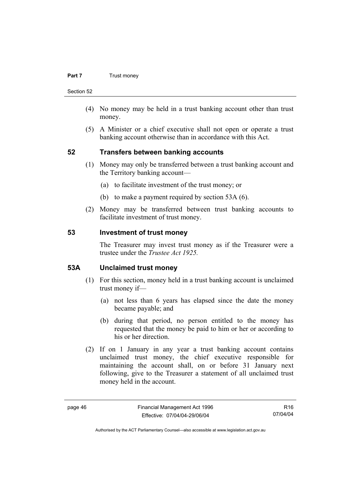#### **Part 7 Trust money**

Section 52

- (4) No money may be held in a trust banking account other than trust money.
- (5) A Minister or a chief executive shall not open or operate a trust banking account otherwise than in accordance with this Act.

#### **52 Transfers between banking accounts**

- (1) Money may only be transferred between a trust banking account and the Territory banking account—
	- (a) to facilitate investment of the trust money; or
	- (b) to make a payment required by section 53A (6).
- (2) Money may be transferred between trust banking accounts to facilitate investment of trust money.

#### **53 Investment of trust money**

The Treasurer may invest trust money as if the Treasurer were a trustee under the *Trustee Act 1925.*

#### **53A Unclaimed trust money**

- (1) For this section, money held in a trust banking account is unclaimed trust money if—
	- (a) not less than 6 years has elapsed since the date the money became payable; and
	- (b) during that period, no person entitled to the money has requested that the money be paid to him or her or according to his or her direction.
- (2) If on 1 January in any year a trust banking account contains unclaimed trust money, the chief executive responsible for maintaining the account shall, on or before 31 January next following, give to the Treasurer a statement of all unclaimed trust money held in the account.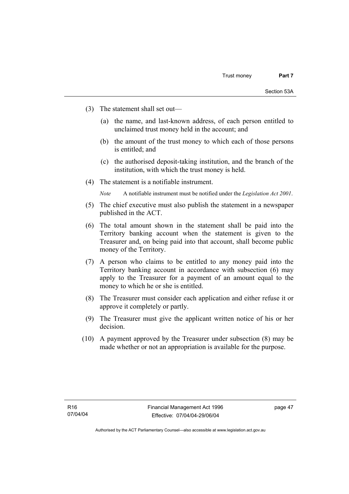- (3) The statement shall set out—
	- (a) the name, and last-known address, of each person entitled to unclaimed trust money held in the account; and
	- (b) the amount of the trust money to which each of those persons is entitled; and
	- (c) the authorised deposit-taking institution, and the branch of the institution, with which the trust money is held.
- (4) The statement is a notifiable instrument.

*Note* A notifiable instrument must be notified under the *Legislation Act 2001*.

- (5) The chief executive must also publish the statement in a newspaper published in the ACT.
- (6) The total amount shown in the statement shall be paid into the Territory banking account when the statement is given to the Treasurer and, on being paid into that account, shall become public money of the Territory.
- (7) A person who claims to be entitled to any money paid into the Territory banking account in accordance with subsection (6) may apply to the Treasurer for a payment of an amount equal to the money to which he or she is entitled.
- (8) The Treasurer must consider each application and either refuse it or approve it completely or partly.
- (9) The Treasurer must give the applicant written notice of his or her decision.
- (10) A payment approved by the Treasurer under subsection (8) may be made whether or not an appropriation is available for the purpose.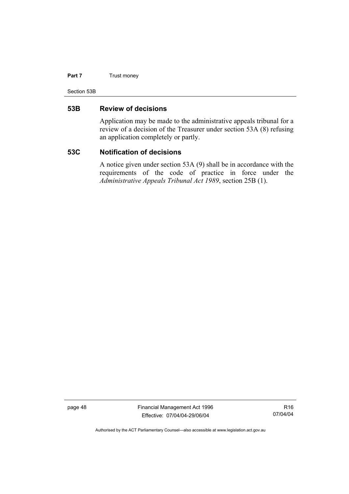#### **Part 7** Trust money

Section 53B

#### **53B Review of decisions**

Application may be made to the administrative appeals tribunal for a review of a decision of the Treasurer under section 53A (8) refusing an application completely or partly.

#### **53C Notification of decisions**

A notice given under section 53A (9) shall be in accordance with the requirements of the code of practice in force under the *Administrative Appeals Tribunal Act 1989*, section 25B (1).

page 48 Financial Management Act 1996 Effective: 07/04/04-29/06/04

R16 07/04/04

Authorised by the ACT Parliamentary Counsel—also accessible at www.legislation.act.gov.au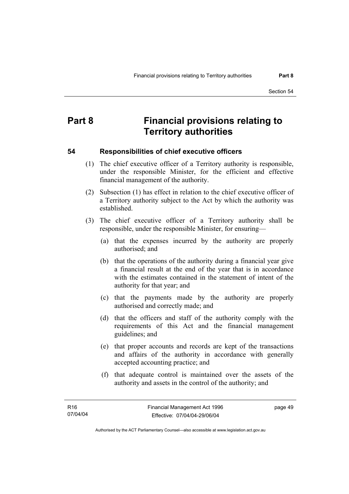# **Part 8 Financial provisions relating to Territory authorities**

#### **54 Responsibilities of chief executive officers**

- (1) The chief executive officer of a Territory authority is responsible, under the responsible Minister, for the efficient and effective financial management of the authority.
- (2) Subsection (1) has effect in relation to the chief executive officer of a Territory authority subject to the Act by which the authority was established.
- (3) The chief executive officer of a Territory authority shall be responsible, under the responsible Minister, for ensuring—
	- (a) that the expenses incurred by the authority are properly authorised; and
	- (b) that the operations of the authority during a financial year give a financial result at the end of the year that is in accordance with the estimates contained in the statement of intent of the authority for that year; and
	- (c) that the payments made by the authority are properly authorised and correctly made; and
	- (d) that the officers and staff of the authority comply with the requirements of this Act and the financial management guidelines; and
	- (e) that proper accounts and records are kept of the transactions and affairs of the authority in accordance with generally accepted accounting practice; and
	- (f) that adequate control is maintained over the assets of the authority and assets in the control of the authority; and

page 49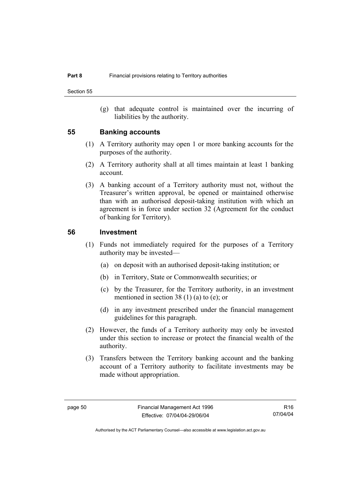(g) that adequate control is maintained over the incurring of liabilities by the authority.

#### **55 Banking accounts**

- (1) A Territory authority may open 1 or more banking accounts for the purposes of the authority.
- (2) A Territory authority shall at all times maintain at least 1 banking account.
- (3) A banking account of a Territory authority must not, without the Treasurer's written approval, be opened or maintained otherwise than with an authorised deposit-taking institution with which an agreement is in force under section 32 (Agreement for the conduct of banking for Territory).

#### **56 Investment**

- (1) Funds not immediately required for the purposes of a Territory authority may be invested—
	- (a) on deposit with an authorised deposit-taking institution; or
	- (b) in Territory, State or Commonwealth securities; or
	- (c) by the Treasurer, for the Territory authority, in an investment mentioned in section 38 (1) (a) to (e); or
	- (d) in any investment prescribed under the financial management guidelines for this paragraph.
- (2) However, the funds of a Territory authority may only be invested under this section to increase or protect the financial wealth of the authority.
- (3) Transfers between the Territory banking account and the banking account of a Territory authority to facilitate investments may be made without appropriation.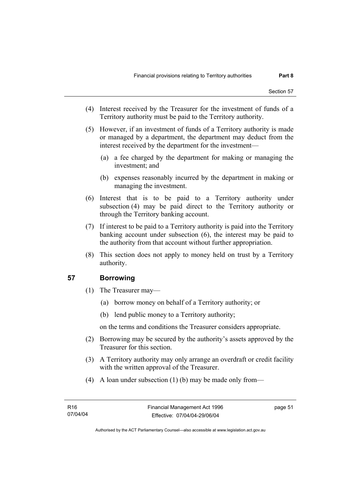- (4) Interest received by the Treasurer for the investment of funds of a Territory authority must be paid to the Territory authority.
- (5) However, if an investment of funds of a Territory authority is made or managed by a department, the department may deduct from the interest received by the department for the investment—
	- (a) a fee charged by the department for making or managing the investment; and
	- (b) expenses reasonably incurred by the department in making or managing the investment.
- (6) Interest that is to be paid to a Territory authority under subsection (4) may be paid direct to the Territory authority or through the Territory banking account.
- (7) If interest to be paid to a Territory authority is paid into the Territory banking account under subsection (6), the interest may be paid to the authority from that account without further appropriation.
- (8) This section does not apply to money held on trust by a Territory authority.

## **57 Borrowing**

- (1) The Treasurer may—
	- (a) borrow money on behalf of a Territory authority; or
	- (b) lend public money to a Territory authority;

on the terms and conditions the Treasurer considers appropriate.

- (2) Borrowing may be secured by the authority's assets approved by the Treasurer for this section.
- (3) A Territory authority may only arrange an overdraft or credit facility with the written approval of the Treasurer.
- (4) A loan under subsection (1) (b) may be made only from—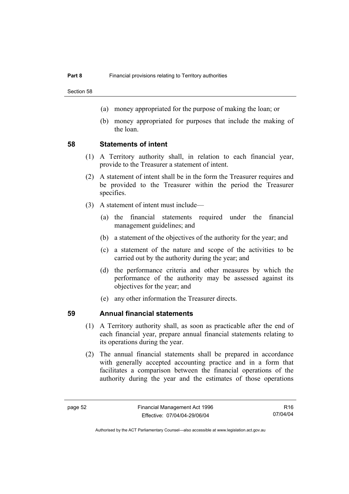Section 58

- (a) money appropriated for the purpose of making the loan; or
- (b) money appropriated for purposes that include the making of the loan.

#### **58 Statements of intent**

- (1) A Territory authority shall, in relation to each financial year, provide to the Treasurer a statement of intent.
- (2) A statement of intent shall be in the form the Treasurer requires and be provided to the Treasurer within the period the Treasurer specifies.
- (3) A statement of intent must include—
	- (a) the financial statements required under the financial management guidelines; and
	- (b) a statement of the objectives of the authority for the year; and
	- (c) a statement of the nature and scope of the activities to be carried out by the authority during the year; and
	- (d) the performance criteria and other measures by which the performance of the authority may be assessed against its objectives for the year; and
	- (e) any other information the Treasurer directs.

#### **59 Annual financial statements**

- (1) A Territory authority shall, as soon as practicable after the end of each financial year, prepare annual financial statements relating to its operations during the year.
- (2) The annual financial statements shall be prepared in accordance with generally accepted accounting practice and in a form that facilitates a comparison between the financial operations of the authority during the year and the estimates of those operations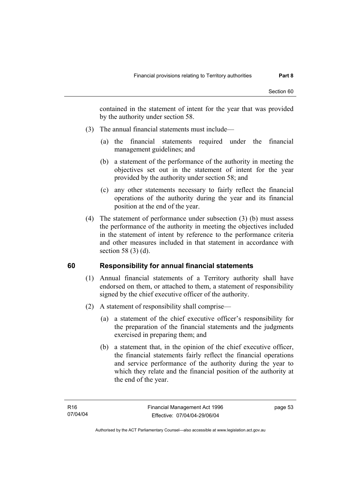contained in the statement of intent for the year that was provided by the authority under section 58.

- (3) The annual financial statements must include—
	- (a) the financial statements required under the financial management guidelines; and
	- (b) a statement of the performance of the authority in meeting the objectives set out in the statement of intent for the year provided by the authority under section 58; and
	- (c) any other statements necessary to fairly reflect the financial operations of the authority during the year and its financial position at the end of the year.
- (4) The statement of performance under subsection (3) (b) must assess the performance of the authority in meeting the objectives included in the statement of intent by reference to the performance criteria and other measures included in that statement in accordance with section 58 (3) (d).

## **60 Responsibility for annual financial statements**

- (1) Annual financial statements of a Territory authority shall have endorsed on them, or attached to them, a statement of responsibility signed by the chief executive officer of the authority.
- (2) A statement of responsibility shall comprise—
	- (a) a statement of the chief executive officer's responsibility for the preparation of the financial statements and the judgments exercised in preparing them; and
	- (b) a statement that, in the opinion of the chief executive officer, the financial statements fairly reflect the financial operations and service performance of the authority during the year to which they relate and the financial position of the authority at the end of the year.

page 53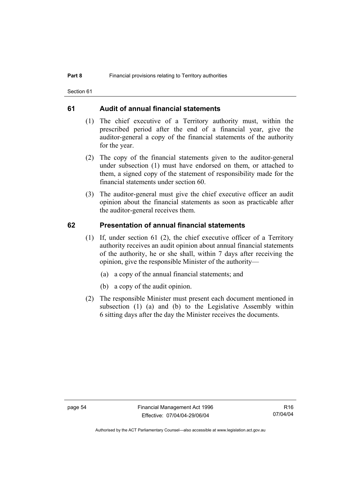Section 61

#### **61 Audit of annual financial statements**

- (1) The chief executive of a Territory authority must, within the prescribed period after the end of a financial year, give the auditor-general a copy of the financial statements of the authority for the year.
- (2) The copy of the financial statements given to the auditor-general under subsection (1) must have endorsed on them, or attached to them, a signed copy of the statement of responsibility made for the financial statements under section 60.
- (3) The auditor-general must give the chief executive officer an audit opinion about the financial statements as soon as practicable after the auditor-general receives them.

#### **62 Presentation of annual financial statements**

- (1) If, under section 61 (2), the chief executive officer of a Territory authority receives an audit opinion about annual financial statements of the authority, he or she shall, within 7 days after receiving the opinion, give the responsible Minister of the authority—
	- (a) a copy of the annual financial statements; and
	- (b) a copy of the audit opinion.
- (2) The responsible Minister must present each document mentioned in subsection (1) (a) and (b) to the Legislative Assembly within 6 sitting days after the day the Minister receives the documents.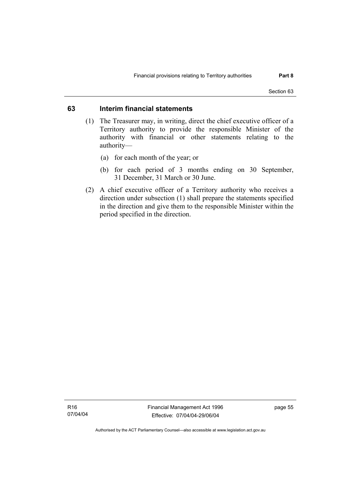## **63 Interim financial statements**

- (1) The Treasurer may, in writing, direct the chief executive officer of a Territory authority to provide the responsible Minister of the authority with financial or other statements relating to the authority—
	- (a) for each month of the year; or
	- (b) for each period of 3 months ending on 30 September, 31 December, 31 March or 30 June.
- (2) A chief executive officer of a Territory authority who receives a direction under subsection (1) shall prepare the statements specified in the direction and give them to the responsible Minister within the period specified in the direction.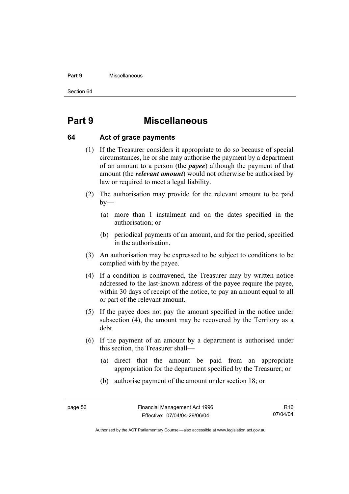#### **Part 9** Miscellaneous

Section 64

# **Part 9 Miscellaneous**

#### **64 Act of grace payments**

- (1) If the Treasurer considers it appropriate to do so because of special circumstances, he or she may authorise the payment by a department of an amount to a person (the *payee*) although the payment of that amount (the *relevant amount*) would not otherwise be authorised by law or required to meet a legal liability.
- (2) The authorisation may provide for the relevant amount to be paid  $by-$ 
	- (a) more than 1 instalment and on the dates specified in the authorisation; or
	- (b) periodical payments of an amount, and for the period, specified in the authorisation.
- (3) An authorisation may be expressed to be subject to conditions to be complied with by the payee.
- (4) If a condition is contravened, the Treasurer may by written notice addressed to the last-known address of the payee require the payee, within 30 days of receipt of the notice, to pay an amount equal to all or part of the relevant amount.
- (5) If the payee does not pay the amount specified in the notice under subsection (4), the amount may be recovered by the Territory as a debt.
- (6) If the payment of an amount by a department is authorised under this section, the Treasurer shall—
	- (a) direct that the amount be paid from an appropriate appropriation for the department specified by the Treasurer; or
	- (b) authorise payment of the amount under section 18; or

Authorised by the ACT Parliamentary Counsel—also accessible at www.legislation.act.gov.au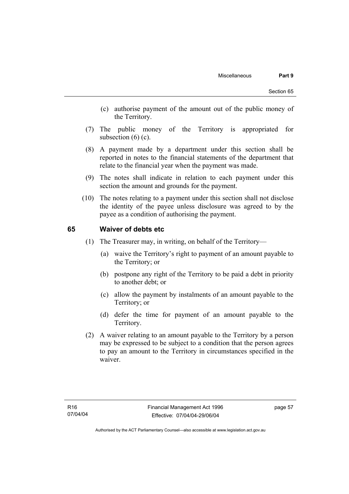- (c) authorise payment of the amount out of the public money of the Territory.
- (7) The public money of the Territory is appropriated for subsection  $(6)$   $(c)$ .
- (8) A payment made by a department under this section shall be reported in notes to the financial statements of the department that relate to the financial year when the payment was made.
- (9) The notes shall indicate in relation to each payment under this section the amount and grounds for the payment.
- (10) The notes relating to a payment under this section shall not disclose the identity of the payee unless disclosure was agreed to by the payee as a condition of authorising the payment.

#### **65 Waiver of debts etc**

- (1) The Treasurer may, in writing, on behalf of the Territory—
	- (a) waive the Territory's right to payment of an amount payable to the Territory; or
	- (b) postpone any right of the Territory to be paid a debt in priority to another debt; or
	- (c) allow the payment by instalments of an amount payable to the Territory; or
	- (d) defer the time for payment of an amount payable to the Territory.
- (2) A waiver relating to an amount payable to the Territory by a person may be expressed to be subject to a condition that the person agrees to pay an amount to the Territory in circumstances specified in the waiver.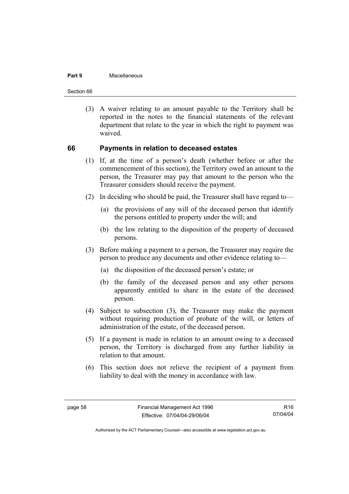#### **Part 9** Miscellaneous

Section 66

 (3) A waiver relating to an amount payable to the Territory shall be reported in the notes to the financial statements of the relevant department that relate to the year in which the right to payment was waived.

#### **66 Payments in relation to deceased estates**

- (1) If, at the time of a person's death (whether before or after the commencement of this section), the Territory owed an amount to the person, the Treasurer may pay that amount to the person who the Treasurer considers should receive the payment.
- (2) In deciding who should be paid, the Treasurer shall have regard to—
	- (a) the provisions of any will of the deceased person that identify the persons entitled to property under the will; and
	- (b) the law relating to the disposition of the property of deceased persons.
- (3) Before making a payment to a person, the Treasurer may require the person to produce any documents and other evidence relating to—
	- (a) the disposition of the deceased person's estate; or
	- (b) the family of the deceased person and any other persons apparently entitled to share in the estate of the deceased person.
- (4) Subject to subsection (3), the Treasurer may make the payment without requiring production of probate of the will, or letters of administration of the estate, of the deceased person.
- (5) If a payment is made in relation to an amount owing to a deceased person, the Territory is discharged from any further liability in relation to that amount.
- (6) This section does not relieve the recipient of a payment from liability to deal with the money in accordance with law.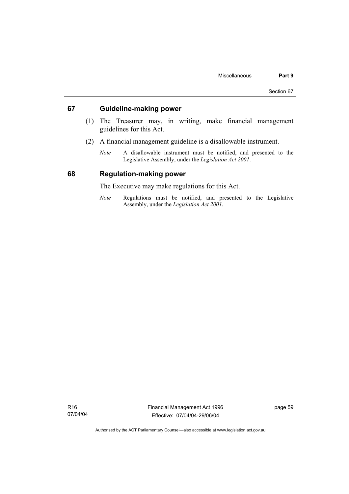#### **67 Guideline-making power**

- (1) The Treasurer may, in writing, make financial management guidelines for this Act.
- (2) A financial management guideline is a disallowable instrument.
	- *Note* A disallowable instrument must be notified, and presented to the Legislative Assembly, under the *Legislation Act 2001*.

#### **68 Regulation-making power**

The Executive may make regulations for this Act.

*Note* Regulations must be notified, and presented to the Legislative Assembly, under the *Legislation Act 2001*.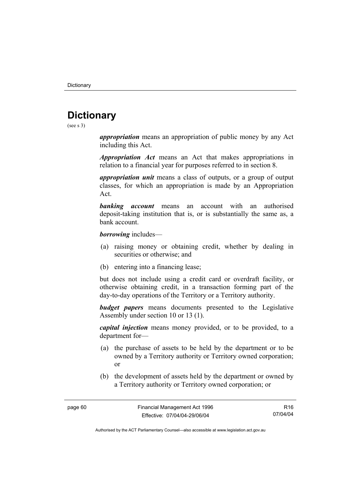# **Dictionary**

(see s 3)

*appropriation* means an appropriation of public money by any Act including this Act.

*Appropriation Act* means an Act that makes appropriations in relation to a financial year for purposes referred to in section 8.

*appropriation unit* means a class of outputs, or a group of output classes, for which an appropriation is made by an Appropriation Act.

*banking account* means an account with an authorised deposit-taking institution that is, or is substantially the same as, a bank account.

*borrowing* includes—

- (a) raising money or obtaining credit, whether by dealing in securities or otherwise; and
- (b) entering into a financing lease;

but does not include using a credit card or overdraft facility, or otherwise obtaining credit, in a transaction forming part of the day-to-day operations of the Territory or a Territory authority.

*budget papers* means documents presented to the Legislative Assembly under section 10 or 13 (1).

*capital injection* means money provided, or to be provided, to a department for—

- (a) the purchase of assets to be held by the department or to be owned by a Territory authority or Territory owned corporation; or
- (b) the development of assets held by the department or owned by a Territory authority or Territory owned corporation; or

R16 07/04/04

Authorised by the ACT Parliamentary Counsel—also accessible at www.legislation.act.gov.au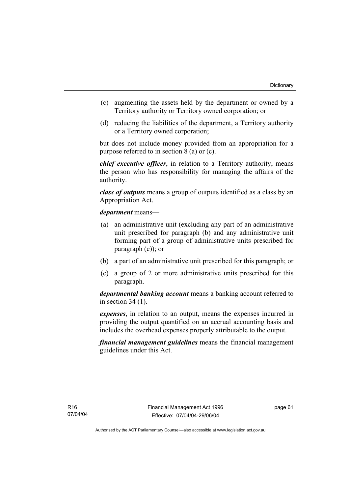- (c) augmenting the assets held by the department or owned by a Territory authority or Territory owned corporation; or
- (d) reducing the liabilities of the department, a Territory authority or a Territory owned corporation;

but does not include money provided from an appropriation for a purpose referred to in section 8 (a) or (c).

*chief executive officer*, in relation to a Territory authority, means the person who has responsibility for managing the affairs of the authority.

*class of outputs* means a group of outputs identified as a class by an Appropriation Act.

*department* means—

- (a) an administrative unit (excluding any part of an administrative unit prescribed for paragraph (b) and any administrative unit forming part of a group of administrative units prescribed for paragraph (c)); or
- (b) a part of an administrative unit prescribed for this paragraph; or
- (c) a group of 2 or more administrative units prescribed for this paragraph.

*departmental banking account* means a banking account referred to in section 34 (1).

*expenses*, in relation to an output, means the expenses incurred in providing the output quantified on an accrual accounting basis and includes the overhead expenses properly attributable to the output.

*financial management guidelines* means the financial management guidelines under this Act.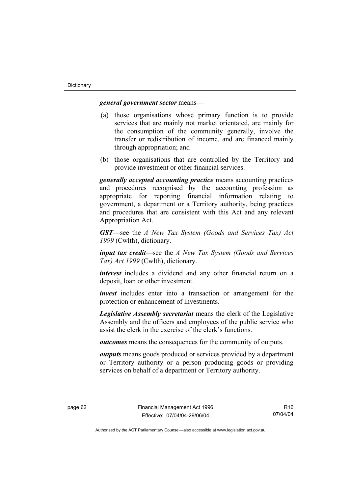#### *general government sector* means—

- (a) those organisations whose primary function is to provide services that are mainly not market orientated, are mainly for the consumption of the community generally, involve the transfer or redistribution of income, and are financed mainly through appropriation; and
- (b) those organisations that are controlled by the Territory and provide investment or other financial services.

*generally accepted accounting practice* means accounting practices and procedures recognised by the accounting profession as appropriate for reporting financial information relating to government, a department or a Territory authority, being practices and procedures that are consistent with this Act and any relevant Appropriation Act.

*GST*—see the *A New Tax System (Goods and Services Tax) Act 1999* (Cwlth), dictionary.

*input tax credit*—see the *A New Tax System (Goods and Services Tax) Act 1999* (Cwlth), dictionary.

*interest* includes a dividend and any other financial return on a deposit, loan or other investment.

*invest* includes enter into a transaction or arrangement for the protection or enhancement of investments.

*Legislative Assembly secretariat* means the clerk of the Legislative Assembly and the officers and employees of the public service who assist the clerk in the exercise of the clerk's functions.

*outcomes* means the consequences for the community of outputs.

*outputs* means goods produced or services provided by a department or Territory authority or a person producing goods or providing services on behalf of a department or Territory authority.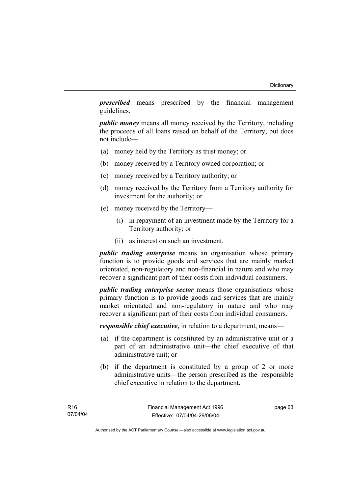*prescribed* means prescribed by the financial management guidelines.

*public money* means all money received by the Territory, including the proceeds of all loans raised on behalf of the Territory, but does not include—

- (a) money held by the Territory as trust money; or
- (b) money received by a Territory owned corporation; or
- (c) money received by a Territory authority; or
- (d) money received by the Territory from a Territory authority for investment for the authority; or
- (e) money received by the Territory—
	- (i) in repayment of an investment made by the Territory for a Territory authority; or
	- (ii) as interest on such an investment.

*public trading enterprise* means an organisation whose primary function is to provide goods and services that are mainly market orientated, non-regulatory and non-financial in nature and who may recover a significant part of their costs from individual consumers.

*public trading enterprise sector* means those organisations whose primary function is to provide goods and services that are mainly market orientated and non-regulatory in nature and who may recover a significant part of their costs from individual consumers.

*responsible chief executive*, in relation to a department, means—

- (a) if the department is constituted by an administrative unit or a part of an administrative unit—the chief executive of that administrative unit; or
- (b) if the department is constituted by a group of 2 or more administrative units—the person prescribed as the responsible chief executive in relation to the department.

page 63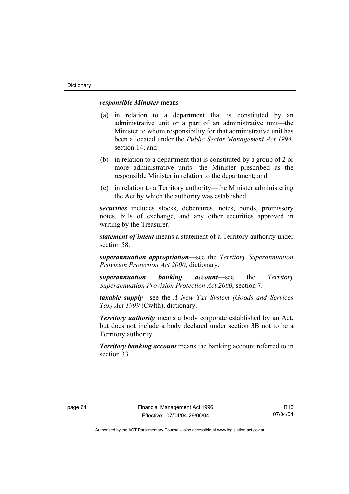#### *responsible Minister* means—

- (a) in relation to a department that is constituted by an administrative unit or a part of an administrative unit—the Minister to whom responsibility for that administrative unit has been allocated under the *Public Sector Management Act 1994*, section 14; and
- (b) in relation to a department that is constituted by a group of 2 or more administrative units—the Minister prescribed as the responsible Minister in relation to the department; and
- (c) in relation to a Territory authority—the Minister administering the Act by which the authority was established.

*securities* includes stocks, debentures, notes, bonds, promissory notes, bills of exchange, and any other securities approved in writing by the Treasurer.

*statement of intent* means a statement of a Territory authority under section 58.

*superannuation appropriation*—see the *Territory Superannuation Provision Protection Act 2000*, dictionary.

*superannuation banking account*—see the *Territory Superannuation Provision Protection Act 2000*, section 7.

*taxable supply*—see the *A New Tax System (Goods and Services Tax) Act 1999* (Cwlth), dictionary.

*Territory authority* means a body corporate established by an Act, but does not include a body declared under section 3B not to be a Territory authority.

*Territory banking account* means the banking account referred to in section 33.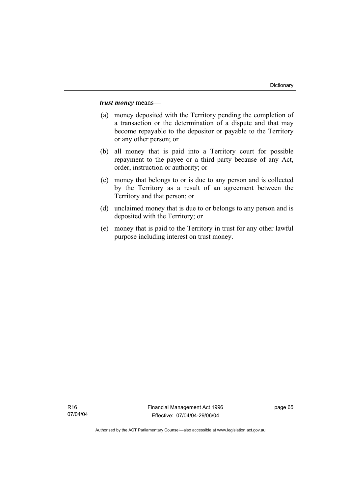*trust money* means—

- (a) money deposited with the Territory pending the completion of a transaction or the determination of a dispute and that may become repayable to the depositor or payable to the Territory or any other person; or
- (b) all money that is paid into a Territory court for possible repayment to the payee or a third party because of any Act, order, instruction or authority; or
- (c) money that belongs to or is due to any person and is collected by the Territory as a result of an agreement between the Territory and that person; or
- (d) unclaimed money that is due to or belongs to any person and is deposited with the Territory; or
- (e) money that is paid to the Territory in trust for any other lawful purpose including interest on trust money.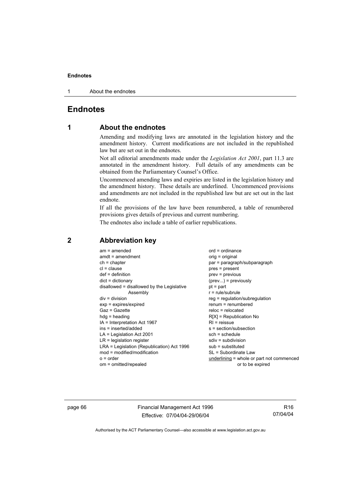1 About the endnotes

# **Endnotes**

# **1 About the endnotes**

Amending and modifying laws are annotated in the legislation history and the amendment history. Current modifications are not included in the republished law but are set out in the endnotes.

Not all editorial amendments made under the *Legislation Act 2001*, part 11.3 are annotated in the amendment history. Full details of any amendments can be obtained from the Parliamentary Counsel's Office.

Uncommenced amending laws and expiries are listed in the legislation history and the amendment history. These details are underlined. Uncommenced provisions and amendments are not included in the republished law but are set out in the last endnote.

If all the provisions of the law have been renumbered, a table of renumbered provisions gives details of previous and current numbering.

The endnotes also include a table of earlier republications.

| $am = amended$<br>$amdt = amendment$<br>$ch = chapter$<br>$cl = clause$<br>$def = definition$<br>$dict = dictionary$<br>disallowed = disallowed by the Legislative<br>Assembly<br>$div = division$<br>$exp = expires/expired$<br>$Gaz = Gazette$<br>$hda =$ heading<br>IA = Interpretation Act 1967<br>ins = inserted/added<br>$LA =$ Legislation Act 2001<br>$LR =$ legislation register<br>LRA = Legislation (Republication) Act 1996<br>mod = modified/modification<br>$o = order$ | $ord = ordinance$<br>orig = original<br>par = paragraph/subparagraph<br>$pres = present$<br>prev = previous<br>$(\text{prev})$ = previously<br>$pt = part$<br>$r = rule/subrule$<br>reg = regulation/subregulation<br>$renum = renumbered$<br>$reloc = relocated$<br>$R[X]$ = Republication No<br>$R1$ = reissue<br>$s = section/subsection$<br>$sch = schedule$<br>$sdiv = subdivision$<br>$sub =$ substituted<br>SL = Subordinate Law<br>underlining = whole or part not commenced |
|---------------------------------------------------------------------------------------------------------------------------------------------------------------------------------------------------------------------------------------------------------------------------------------------------------------------------------------------------------------------------------------------------------------------------------------------------------------------------------------|--------------------------------------------------------------------------------------------------------------------------------------------------------------------------------------------------------------------------------------------------------------------------------------------------------------------------------------------------------------------------------------------------------------------------------------------------------------------------------------|
| om = omitted/repealed                                                                                                                                                                                                                                                                                                                                                                                                                                                                 | or to be expired                                                                                                                                                                                                                                                                                                                                                                                                                                                                     |
|                                                                                                                                                                                                                                                                                                                                                                                                                                                                                       |                                                                                                                                                                                                                                                                                                                                                                                                                                                                                      |

# **2 Abbreviation key**

page 66 Financial Management Act 1996 Effective: 07/04/04-29/06/04

R16 07/04/04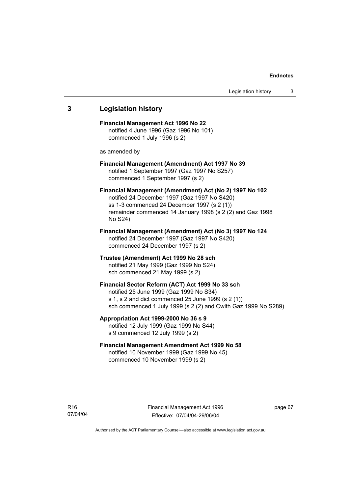# **3 Legislation history Financial Management Act 1996 No 22**  notified 4 June 1996 (Gaz 1996 No 101) commenced 1 July 1996 (s 2) as amended by **Financial Management (Amendment) Act 1997 No 39**  notified 1 September 1997 (Gaz 1997 No S257) commenced 1 September 1997 (s 2) **Financial Management (Amendment) Act (No 2) 1997 No 102**  notified 24 December 1997 (Gaz 1997 No S420) ss 1-3 commenced 24 December 1997 (s 2 (1)) remainder commenced 14 January 1998 (s 2 (2) and Gaz 1998 No S24) **Financial Management (Amendment) Act (No 3) 1997 No 124**  notified 24 December 1997 (Gaz 1997 No S420) commenced 24 December 1997 (s 2) **Trustee (Amendment) Act 1999 No 28 sch**  notified 21 May 1999 (Gaz 1999 No S24) sch commenced 21 May 1999 (s 2) **Financial Sector Reform (ACT) Act 1999 No 33 sch**  notified 25 June 1999 (Gaz 1999 No S34) s 1, s 2 and dict commenced 25 June 1999 (s 2 (1)) sch commenced 1 July 1999 (s 2 (2) and Cwlth Gaz 1999 No S289) **Appropriation Act 1999-2000 No 36 s 9**  notified 12 July 1999 (Gaz 1999 No S44) s 9 commenced 12 July 1999 (s 2) **Financial Management Amendment Act 1999 No 58**  notified 10 November 1999 (Gaz 1999 No 45) commenced 10 November 1999 (s 2)

page 67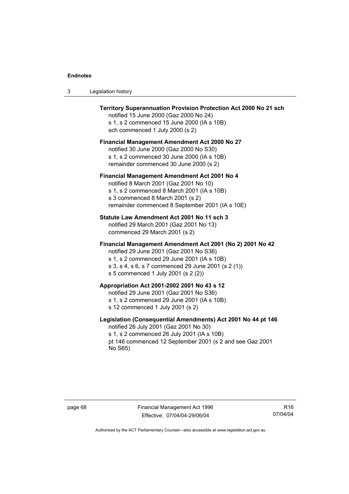| Territory Superannuation Provision Protection Act 2000 No 21 sch<br>notified 15 June 2000 (Gaz 2000 No 24)<br>s 1, s 2 commenced 15 June 2000 (IA s 10B)<br>sch commenced 1 July 2000 (s 2)                                                      |
|--------------------------------------------------------------------------------------------------------------------------------------------------------------------------------------------------------------------------------------------------|
| Financial Management Amendment Act 2000 No 27<br>notified 30 June 2000 (Gaz 2000 No S30)<br>s 1, s 2 commenced 30 June 2000 (IA s 10B)<br>remainder commenced 30 June 2000 (s 2)                                                                 |
| Financial Management Amendment Act 2001 No 4<br>notified 8 March 2001 (Gaz 2001 No 10)<br>s 1, s 2 commenced 8 March 2001 (IA s 10B)<br>s 3 commenced 8 March 2001 (s 2)<br>remainder commenced 8 September 2001 (IA s 10E)                      |
| Statute Law Amendment Act 2001 No 11 sch 3<br>notified 29 March 2001 (Gaz 2001 No 13)<br>commenced 29 March 2001 (s 2)                                                                                                                           |
| Financial Management Amendment Act 2001 (No 2) 2001 No 42<br>notified 29 June 2001 (Gaz 2001 No S36)<br>s 1, s 2 commenced 29 June 2001 (IA s 10B)<br>s 3, s 4, s 6, s 7 commenced 29 June 2001 (s 2 (1))<br>s 5 commenced 1 July 2001 (s 2 (2)) |
| Appropriation Act 2001-2002 2001 No 43 s 12<br>notified 29 June 2001 (Gaz 2001 No S36)<br>s 1, s 2 commenced 29 June 2001 (IA s 10B)<br>s 12 commenced 1 July 2001 (s 2)                                                                         |
| Legislation (Consequential Amendments) Act 2001 No 44 pt 146<br>notified 26 July 2001 (Gaz 2001 No 30)<br>s 1, s 2 commenced 26 July 2001 (IA s 10B)<br>pt 146 commenced 12 September 2001 (s 2 and see Gaz 2001<br>No S65)                      |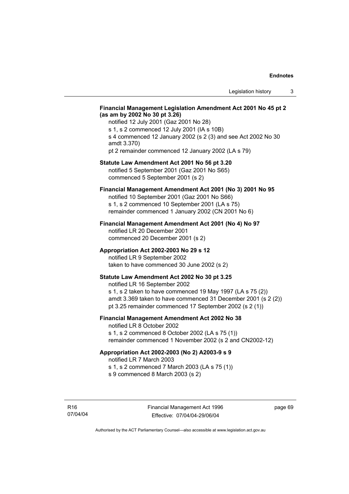#### **Financial Management Legislation Amendment Act 2001 No 45 pt 2 (as am by 2002 No 30 pt 3.26)**

notified 12 July 2001 (Gaz 2001 No 28) s 1, s 2 commenced 12 July 2001 (IA s 10B) s 4 commenced 12 January 2002 (s 2 (3) and see Act 2002 No 30 amdt 3.370) pt 2 remainder commenced 12 January 2002 (LA s 79)

#### **Statute Law Amendment Act 2001 No 56 pt 3.20**

notified 5 September 2001 (Gaz 2001 No S65) commenced 5 September 2001 (s 2)

# **Financial Management Amendment Act 2001 (No 3) 2001 No 95**

notified 10 September 2001 (Gaz 2001 No S66) s 1, s 2 commenced 10 September 2001 (LA s 75) remainder commenced 1 January 2002 (CN 2001 No 6)

#### **Financial Management Amendment Act 2001 (No 4) No 97**

notified LR 20 December 2001 commenced 20 December 2001 (s 2)

#### **Appropriation Act 2002-2003 No 29 s 12**

notified LR 9 September 2002 taken to have commenced 30 June 2002 (s 2)

### **Statute Law Amendment Act 2002 No 30 pt 3.25**

notified LR 16 September 2002 s 1, s 2 taken to have commenced 19 May 1997 (LA s 75 (2)) amdt 3.369 taken to have commenced 31 December 2001 (s 2 (2)) pt 3.25 remainder commenced 17 September 2002 (s 2 (1))

### **Financial Management Amendment Act 2002 No 38**

notified LR 8 October 2002 s 1, s 2 commenced 8 October 2002 (LA s 75 (1)) remainder commenced 1 November 2002 (s 2 and CN2002-12)

#### **Appropriation Act 2002-2003 (No 2) A2003-9 s 9**

notified LR 7 March 2003

s 1, s 2 commenced 7 March 2003 (LA s 75 (1))

s 9 commenced 8 March 2003 (s 2)

R16 07/04/04 page 69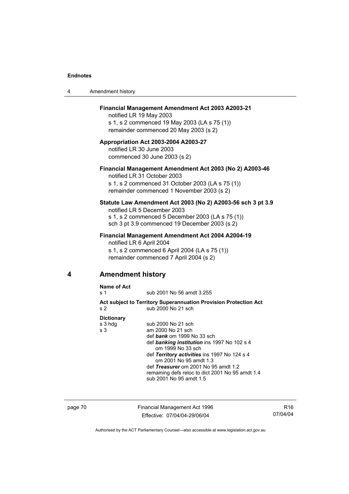| 4 | Amendment history |
|---|-------------------|
|---|-------------------|

#### **Financial Management Amendment Act 2003 A2003-21**

notified LR 19 May 2003 s 1, s 2 commenced 19 May 2003 (LA s 75 (1)) remainder commenced 20 May 2003 (s 2)

#### **Appropriation Act 2003-2004 A2003-27**  notified LR 30 June 2003

commenced 30 June 2003 (s 2)

# **Financial Management Amendment Act 2003 (No 2) A2003-46**

notified LR 31 October 2003 s 1, s 2 commenced 31 October 2003 (LA s 75 (1)) remainder commenced 1 November 2003 (s 2)

### **Statute Law Amendment Act 2003 (No 2) A2003-56 sch 3 pt 3.9**

notified LR 5 December 2003 s 1, s 2 commenced 5 December 2003 (LA s 75 (1)) sch 3 pt 3.9 commenced 19 December 2003 (s 2)

#### **Financial Management Amendment Act 2004 A2004-19**

notified LR 6 April 2004 s 1, s 2 commenced 6 April 2004 (LA s 75 (1)) remainder commenced 7 April 2004 (s 2)

# **4 Amendment history**

**Name of Act** 

s 1 sub 2001 No 56 amdt 3.255

**Act subject to Territory Superannuation Provision Protection Act** s 2 sub 2000 No 21 sch

### **Dictionary**

| Pivuviidi y |                                                  |
|-------------|--------------------------------------------------|
| s 3 hdg     | sub 2000 No 21 sch                               |
| s 3         | am 2000 No 21 sch                                |
|             | def bank om 1999 No 33 sch                       |
|             | def banking institution ins 1997 No 102 s 4      |
|             | om 1999 No 33 sch                                |
|             | def Territory activities ins 1997 No 124 s 4     |
|             | om 2001 No 95 amdt 1.3                           |
|             | def Treasurer om 2001 No 95 amdt 1.2             |
|             | remaining defs reloc to dict 2001 No 95 amdt 1.4 |
|             | sub 2001 No 95 amdt 1.5                          |
|             |                                                  |

page 70 Financial Management Act 1996 Effective: 07/04/04-29/06/04

R16 07/04/04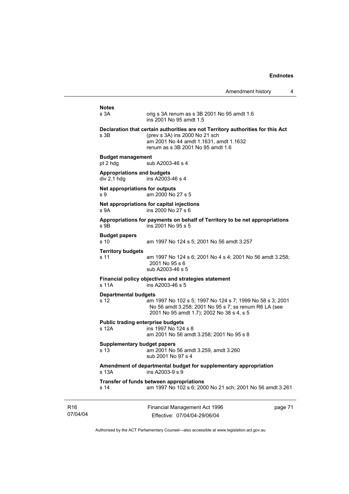Amendment history 4 Financial Management Act 1996 Effective: 07/04/04-29/06/04 page 71 **Notes**  orig s 3A renum as s 3B 2001 No 95 amdt 1.6 ins 2001 No 95 amdt 1.5 **Declaration that certain authorities are not Territory authorities for this Act** s 3B (prev s 3A) ins 2000 No 21 sch am 2001 No 44 amdt 1.1631, amdt 1.1632 renum as s 3B 2001 No 95 amdt 1.6 **Budget management**  sub A2003-46 s 4 **Appropriations and budgets**   $div 2.1$  hdg  $div 2.1$  ins A2003-46 s 4 **Net appropriations for outputs** s 9 am 2000 No 27 s 5 **Net appropriations for capital injections** s 9A ins 2000 No 27 s 6 **Appropriations for payments on behalf of Territory to be net appropriations**  s 9B ins 2001 No 95 s 5 **Budget papers**  s 10 am 1997 No 124 s 5; 2001 No 56 amdt 3.257 **Territory budgets**  s 11 am 1997 No 124 s 6; 2001 No 4 s 4; 2001 No 56 amdt 3.258; 2001 No 95 s 6 sub A2003-46 s 5 **Financial policy objectives and strategies statement**  s 11A ins A2003-46 s 5 **Departmental budgets** s 12 am 1997 No 102 s 5; 1997 No 124 s 7; 1999 No 58 s 3; 2001 No 56 amdt 3.258; 2001 No 95 s 7; ss renum R6 LA (see 2001 No 95 amdt 1.7); 2002 No 38 s 4, s 5 **Public trading enterprise budgets**<br>s 12A ins 1997 No 124  $ins$  1997 No 124 s 8 am 2001 No 56 amdt 3.258; 2001 No 95 s 8 **Supplementary budget papers**  s 13 am 2001 No 56 amdt 3.259, amdt 3.260 sub 2001 No 97 s 4 **Amendment of departmental budget for supplementary appropriation**  s 13A ins A2003-9 s 9 **Transfer of funds between appropriations** s 14 am 1997 No 102 s 6; 2000 No 21 sch; 2001 No 56 amdt 3.261

Authorised by the ACT Parliamentary Counsel—also accessible at www.legislation.act.gov.au

R16 07/04/04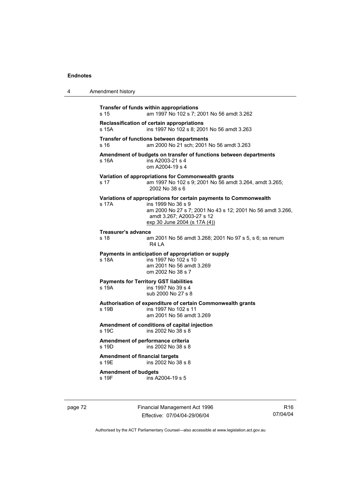| 4 | Amendment history                                                                                                                                                                                                           |
|---|-----------------------------------------------------------------------------------------------------------------------------------------------------------------------------------------------------------------------------|
|   | Transfer of funds within appropriations<br>am 1997 No 102 s 7; 2001 No 56 amdt 3.262<br>s 15                                                                                                                                |
|   | Reclassification of certain appropriations<br>s 15A<br>ins 1997 No 102 s 8: 2001 No 56 amdt 3.263                                                                                                                           |
|   | Transfer of functions between departments<br>am 2000 No 21 sch; 2001 No 56 amdt 3.263<br>s 16                                                                                                                               |
|   | Amendment of budgets on transfer of functions between departments<br>ins A2003-21 s 4<br>s 16A<br>om A2004-19 s 4                                                                                                           |
|   | Variation of appropriations for Commonwealth grants<br>am 1997 No 102 s 9; 2001 No 56 amdt 3.264, amdt 3.265;<br>s 17<br>2002 No 38 s 6                                                                                     |
|   | Variations of appropriations for certain payments to Commonwealth<br>s 17A<br>ins 1999 No 36 s 9<br>am 2000 No 27 s 7; 2001 No 43 s 12; 2001 No 56 amdt 3.266,<br>amdt 3.267; A2003-27 s 12<br>exp 30 June 2004 (s 17A (4)) |
|   | <b>Treasurer's advance</b><br>s <sub>18</sub><br>am 2001 No 56 amdt 3.268; 2001 No 97 s 5, s 6; ss renum<br>R4 LA                                                                                                           |
|   | Payments in anticipation of appropriation or supply<br>ins 1997 No 102 s 10<br>s 18A<br>am 2001 No 56 amdt 3.269<br>om 2002 No 38 s 7                                                                                       |
|   | <b>Payments for Territory GST liabilities</b><br>s 19A<br>ins 1997 No 39 s 4<br>sub 2000 No 27 s 8                                                                                                                          |
|   | Authorisation of expenditure of certain Commonwealth grants<br>s 19B<br>ins 1997 No 102 s 11<br>am 2001 No 56 amdt 3.269                                                                                                    |
|   | Amendment of conditions of capital injection<br>s 19C<br>ins 2002 No 38 s 8                                                                                                                                                 |
|   | Amendment of performance criteria<br>s 19D<br>ins 2002 No 38 s 8                                                                                                                                                            |
|   | <b>Amendment of financial targets</b><br>ins 2002 No 38 s 8<br>s 19E                                                                                                                                                        |
|   | <b>Amendment of budgets</b><br>ins A2004-19 s 5<br>s 19F                                                                                                                                                                    |

page 72 Financial Management Act 1996 Effective: 07/04/04-29/06/04

R16 07/04/04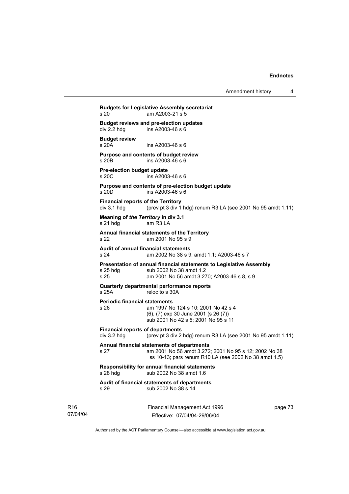Amendment history 4

Financial Management Act 1996 page 73 **Budgets for Legislative Assembly secretariat**  s 20 am A2003-21 s 5 **Budget reviews and pre-election updates**   $ins$  A2003-46 s 6 **Budget review**  ins A2003-46 s 6 **Purpose and contents of budget review**  s 20B ins A2003-46 s 6 **Pre-election budget update**   $ins$  A2003-46 s 6 **Purpose and contents of pre-election budget update**  s 20D ins A2003-46 s 6 **Financial reports of the Territory**   $div 3.1$  hdg (prev pt 3 div 1 hdg) renum R3 LA (see 2001 No 95 amdt 1.11) **Meaning of** *the Territory* **in div 3.1**  s 21 hdg am R3 LA **Annual financial statements of the Territory**  s 22 am 2001 No 95 s 9 **Audit of annual financial statements**  s 24 am 2002 No 38 s 9, amdt 1.1; A2003-46 s 7 **Presentation of annual financial statements to Legislative Assembly**  s 25 hdg sub 2002 No 38 amdt 1.2 s 25 am 2001 No 56 amdt 3.270; A2003-46 s 8, s 9 **Quarterly departmental performance reports**  reloc to s 30A **Periodic financial statements** s 26 am 1997 No 124 s 10; 2001 No 42 s 4 (6), (7) exp 30 June 2001 (s 26 (7)) sub 2001 No 42 s 5; 2001 No 95 s 11 **Financial reports of departments**  div 3.2 hdg (prev pt 3 div 2 hdg) renum R3 LA (see 2001 No 95 amdt 1.11) **Annual financial statements of departments**  s 27 am 2001 No 56 amdt 3.272; 2001 No 95 s 12; 2002 No 38 ss 10-13; pars renum R10 LA (see 2002 No 38 amdt 1.5) **Responsibility for annual financial statements**  s 28 hdg sub 2002 No 38 amdt 1.6 **Audit of financial statements of departments**  s 29 sub 2002 No 38 s 14

Authorised by the ACT Parliamentary Counsel—also accessible at www.legislation.act.gov.au

Effective: 07/04/04-29/06/04

R16 07/04/04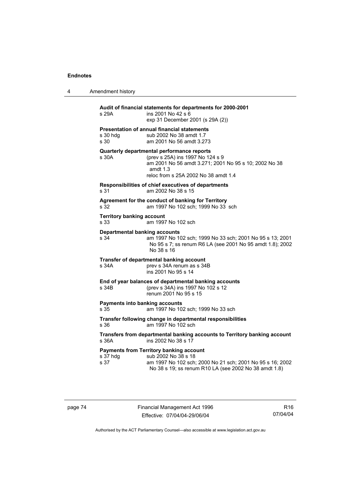| 4 | Amendment history |
|---|-------------------|
|---|-------------------|

| s 29A                                                                                                     | Audit of financial statements for departments for 2000-2001<br>ins 2001 No 42 s 6<br>exp 31 December 2001 (s 29A (2))                                                                         |
|-----------------------------------------------------------------------------------------------------------|-----------------------------------------------------------------------------------------------------------------------------------------------------------------------------------------------|
| s 30 hdg<br>s 30                                                                                          | <b>Presentation of annual financial statements</b><br>sub 2002 No 38 amdt 1.7<br>am 2001 No 56 amdt 3.273                                                                                     |
| s 30A                                                                                                     | Quarterly departmental performance reports<br>(prev s 25A) ins 1997 No 124 s 9<br>am 2001 No 56 amdt 3.271; 2001 No 95 s 10; 2002 No 38<br>amdt $1.3$<br>reloc from s 25A 2002 No 38 amdt 1.4 |
| s 31                                                                                                      | Responsibilities of chief executives of departments<br>am 2002 No 38 s 15                                                                                                                     |
| s 32                                                                                                      | Agreement for the conduct of banking for Territory<br>am 1997 No 102 sch; 1999 No 33 sch                                                                                                      |
| <b>Territory banking account</b><br>s 33                                                                  | am 1997 No 102 sch                                                                                                                                                                            |
| <b>Departmental banking accounts</b><br>s 34                                                              | am 1997 No 102 sch; 1999 No 33 sch; 2001 No 95 s 13; 2001<br>No 95 s 7; ss renum R6 LA (see 2001 No 95 amdt 1.8); 2002<br>No 38 s 16                                                          |
| s 34A                                                                                                     | Transfer of departmental banking account<br>prev s 34A renum as s 34B<br>ins 2001 No 95 s 14                                                                                                  |
| s 34B                                                                                                     | End of year balances of departmental banking accounts<br>(prev s 34A) ins 1997 No 102 s 12<br>renum 2001 No 95 s 15                                                                           |
| <b>Payments into banking accounts</b><br>s 35                                                             | am 1997 No 102 sch; 1999 No 33 sch                                                                                                                                                            |
| s 36                                                                                                      | Transfer following change in departmental responsibilities<br>am 1997 No 102 sch                                                                                                              |
| Transfers from departmental banking accounts to Territory banking account<br>s 36A<br>ins 2002 No 38 s 17 |                                                                                                                                                                                               |
| s 37 hdg<br>s 37                                                                                          | <b>Payments from Territory banking account</b><br>sub 2002 No 38 s 18<br>am 1997 No 102 sch; 2000 No 21 sch; 2001 No 95 s 16; 2002<br>No 38 s 19; ss renum R10 LA (see 2002 No 38 amdt 1.8)   |

page 74 Financial Management Act 1996 Effective: 07/04/04-29/06/04

R16 07/04/04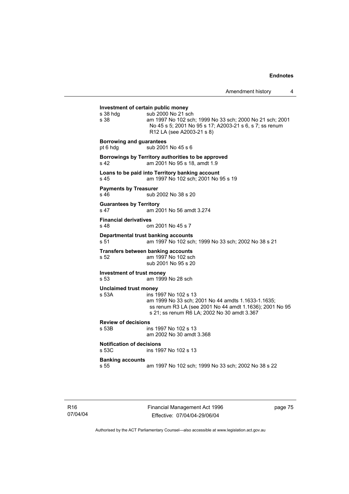**Investment of certain public money**<br>s 38 hdg sub 2000 No 21 so  $sub$  2000 No 21 sch s 38 am 1997 No 102 sch; 1999 No 33 sch; 2000 No 21 sch; 2001 No 45 s 5; 2001 No 95 s 17; A2003-21 s 6, s 7; ss renum R12 LA (see A2003-21 s 8) **Borrowing and guarantees**  pt 6 hdg sub 2001 No 45 s 6 **Borrowings by Territory authorities to be approved**  s 42 am 2001 No 95 s 18, amdt 1.9 **Loans to be paid into Territory banking account** s 45 am 1997 No 102 sch; 2001 No 95 s 19 **Payments by Treasurer**  s 46 sub 2002 No 38 s 20 **Guarantees by Territory**  s 47 am 2001 No 56 amdt 3.274 **Financial derivatives**  s 48 om 2001 No 45 s 7 **Departmental trust banking accounts** s 51 am 1997 No 102 sch; 1999 No 33 sch; 2002 No 38 s 21 **Transfers between banking accounts** s 52 am 1997 No 102 sch sub 2001 No 95 s 20 **Investment of trust money**  s 53 am 1999 No 28 sch **Unclaimed trust money**  s 53A ins 1997 No 102 s 13 am 1999 No 33 sch; 2001 No 44 amdts 1.1633-1.1635; ss renum R3 LA (see 2001 No 44 amdt 1.1636); 2001 No 95 s 21; ss renum R6 LA; 2002 No 30 amdt 3.367 **Review of decisions**  ins 1997 No 102 s 13 am 2002 No 30 amdt 3.368 **Notification of decisions**  s 53C ins 1997 No 102 s 13 **Banking accounts**  s 55 am 1997 No 102 sch; 1999 No 33 sch; 2002 No 38 s 22

R16 07/04/04 Financial Management Act 1996 Effective: 07/04/04-29/06/04

page 75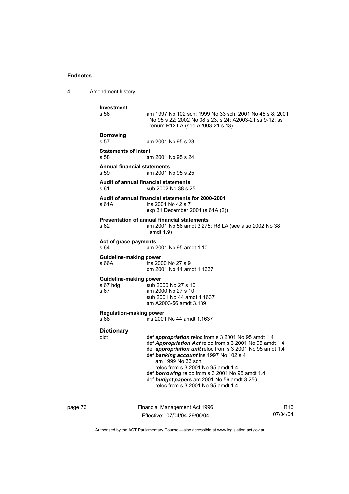4 Amendment history

| <b>Investment</b>                                                    |                                                                                                                                                                                                                                                                                                                                                                                                                             |
|----------------------------------------------------------------------|-----------------------------------------------------------------------------------------------------------------------------------------------------------------------------------------------------------------------------------------------------------------------------------------------------------------------------------------------------------------------------------------------------------------------------|
| s 56.                                                                | am 1997 No 102 sch; 1999 No 33 sch; 2001 No 45 s 8; 2001<br>No 95 s 22; 2002 No 38 s 23, s 24; A2003-21 ss 9-12; ss<br>renum R12 LA (see A2003-21 s 13)                                                                                                                                                                                                                                                                     |
| <b>Borrowing</b><br>s 57                                             | am 2001 No 95 s 23                                                                                                                                                                                                                                                                                                                                                                                                          |
| <b>Statements of intent</b><br>s 58                                  | am 2001 No 95 s 24                                                                                                                                                                                                                                                                                                                                                                                                          |
| <b>Annual financial statements</b><br>s 59                           | am 2001 No 95 s 25                                                                                                                                                                                                                                                                                                                                                                                                          |
| s 61                                                                 | Audit of annual financial statements<br>sub 2002 No 38 s 25                                                                                                                                                                                                                                                                                                                                                                 |
| s 61A                                                                | Audit of annual financial statements for 2000-2001<br>ins 2001 No 42 s 7<br>exp 31 December 2001 (s 61A (2))                                                                                                                                                                                                                                                                                                                |
| s 62                                                                 | <b>Presentation of annual financial statements</b><br>am 2001 No 56 amdt 3.275; R8 LA (see also 2002 No 38<br>amdt $1.9$                                                                                                                                                                                                                                                                                                    |
| Act of grace payments<br>s 64                                        | am 2001 No 95 amdt 1.10                                                                                                                                                                                                                                                                                                                                                                                                     |
| <b>Guideline-making power</b><br>s 66A                               | ins 2000 No 27 s 9<br>om 2001 No 44 amdt 1.1637                                                                                                                                                                                                                                                                                                                                                                             |
| <b>Guideline-making power</b><br>s 67 hdg<br>s 67                    | sub 2000 No 27 s 10<br>am 2000 No 27 s 10<br>sub 2001 No 44 amdt 1.1637<br>am A2003-56 amdt 3.139                                                                                                                                                                                                                                                                                                                           |
| <b>Regulation-making power</b><br>s 68<br>ins 2001 No 44 amdt 1.1637 |                                                                                                                                                                                                                                                                                                                                                                                                                             |
| <b>Dictionary</b><br>dict                                            | def appropriation reloc from s 3 2001 No 95 amdt 1.4<br>def Appropriation Act reloc from s 3 2001 No 95 amdt 1.4<br>def appropriation unit reloc from s 3 2001 No 95 amdt 1.4<br>def banking account ins 1997 No 102 s 4<br>am 1999 No 33 sch<br>reloc from s 3 2001 No 95 amdt 1.4<br>def borrowing reloc from s 3 2001 No 95 amdt 1.4<br>def budget papers am 2001 No 56 amdt 3.256<br>reloc from s 3 2001 No 95 amdt 1.4 |

page 76 Financial Management Act 1996 Effective: 07/04/04-29/06/04

R16 07/04/04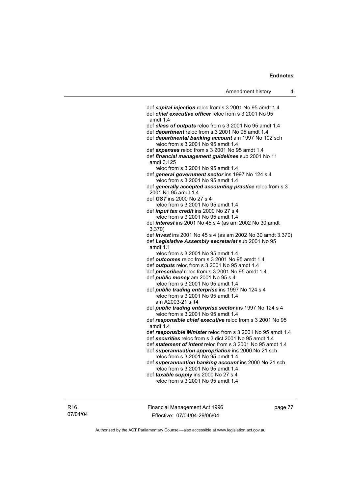def *capital injection* reloc from s 3 2001 No 95 amdt 1.4 def *chief executive officer* reloc from s 3 2001 No 95 amdt 1.4 def *class of outputs* reloc from s 3 2001 No 95 amdt 1.4 def *department* reloc from s 3 2001 No 95 amdt 1.4 def *departmental banking account* am 1997 No 102 sch reloc from s 3 2001 No 95 amdt 1.4 def *expenses* reloc from s 3 2001 No 95 amdt 1.4 def *financial management guidelines* sub 2001 No 11 amdt 3.125 reloc from s 3 2001 No 95 amdt 1.4 def *general government sector* ins 1997 No 124 s 4 reloc from s 3 2001 No 95 amdt 1.4 def *generally accepted accounting practice* reloc from s 3 2001 No 95 amdt 1.4 def *GST* ins 2000 No 27 s 4 reloc from s 3 2001 No 95 amdt 1.4 def *input tax credit* ins 2000 No 27 s 4 reloc from s 3 2001 No 95 amdt 1.4 def *interest* ins 2001 No 45 s 4 (as am 2002 No 30 amdt 3.370) def *invest* ins 2001 No 45 s 4 (as am 2002 No 30 amdt 3.370) def *Legislative Assembly secretariat* sub 2001 No 95 amdt 1.1 reloc from s 3 2001 No 95 amdt 1.4 def *outcomes* reloc from s 3 2001 No 95 amdt 1.4 def *outputs* reloc from s 3 2001 No 95 amdt 1.4 def *prescribed* reloc from s 3 2001 No 95 amdt 1.4 def *public money* am 2001 No 95 s 4 reloc from s 3 2001 No 95 amdt 1.4 def *public trading enterprise* ins 1997 No 124 s 4 reloc from s 3 2001 No 95 amdt 1.4 am A2003-21 s 14 def *public trading enterprise sector* ins 1997 No 124 s 4 reloc from s 3 2001 No 95 amdt 1.4 def *responsible chief executive* reloc from s 3 2001 No 95 amdt 1.4 def *responsible Minister* reloc from s 3 2001 No 95 amdt 1.4 def *securities* reloc from s 3 dict 2001 No 95 amdt 1.4 def *statement of intent* reloc from s 3 2001 No 95 amdt 1.4 def *superannuation appropriation* ins 2000 No 21 sch reloc from s 3 2001 No 95 amdt 1.4 def *superannuation banking account* ins 2000 No 21 sch reloc from s 3 2001 No 95 amdt 1.4 def *taxable supply* ins 2000 No 27 s 4 reloc from s 3 2001 No 95 amdt 1.4

R16 07/04/04 Financial Management Act 1996 Effective: 07/04/04-29/06/04

page 77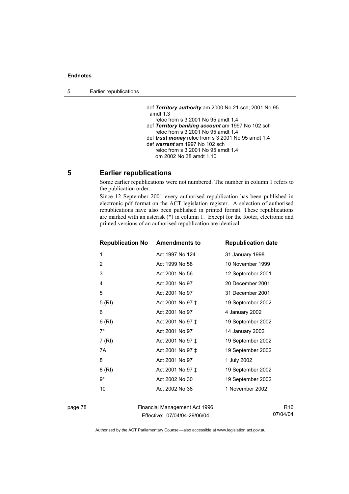5 Earlier republications

 def *Territory authority* am 2000 No 21 sch; 2001 No 95 amdt 1.3 reloc from s 3 2001 No 95 amdt 1.4 def *Territory banking account* am 1997 No 102 sch reloc from s 3 2001 No 95 amdt 1.4 def *trust money* reloc from s 3 2001 No 95 amdt 1.4 def *warrant* am 1997 No 102 sch reloc from s 3 2001 No 95 amdt 1.4 om 2002 No 38 amdt 1.10

# **5 Earlier republications**

Some earlier republications were not numbered. The number in column 1 refers to the publication order.

Since 12 September 2001 every authorised republication has been published in electronic pdf format on the ACT legislation register. A selection of authorised republications have also been published in printed format. These republications are marked with an asterisk  $(*)$  in column 1. Except for the footer, electronic and printed versions of an authorised republication are identical.

| <b>Republication No</b> | <b>Amendments to</b> | <b>Republication date</b> |
|-------------------------|----------------------|---------------------------|
| 1                       | Act 1997 No 124      | 31 January 1998           |
| 2                       | Act 1999 No 58       | 10 November 1999          |
| 3                       | Act 2001 No 56       | 12 September 2001         |
| 4                       | Act 2001 No 97       | 20 December 2001          |
| 5                       | Act 2001 No 97       | 31 December 2001          |
| 5(RI)                   | Act 2001 No 97 ‡     | 19 September 2002         |
| 6                       | Act 2001 No 97       | 4 January 2002            |
| 6(RI)                   | Act 2001 No 97 ‡     | 19 September 2002         |
| $7^*$                   | Act 2001 No 97       | 14 January 2002           |
| 7 (RI)                  | Act 2001 No 97 ‡     | 19 September 2002         |
| 7A                      | Act 2001 No 97 ‡     | 19 September 2002         |
| 8                       | Act 2001 No 97       | 1 July 2002               |
| 8(RI)                   | Act 2001 No 97 ‡     | 19 September 2002         |
| 9*                      | Act 2002 No 30       | 19 September 2002         |
| 10                      | Act 2002 No 38       | 1 November 2002           |
|                         |                      |                           |

page 78 Financial Management Act 1996 Effective: 07/04/04-29/06/04

R16 07/04/04